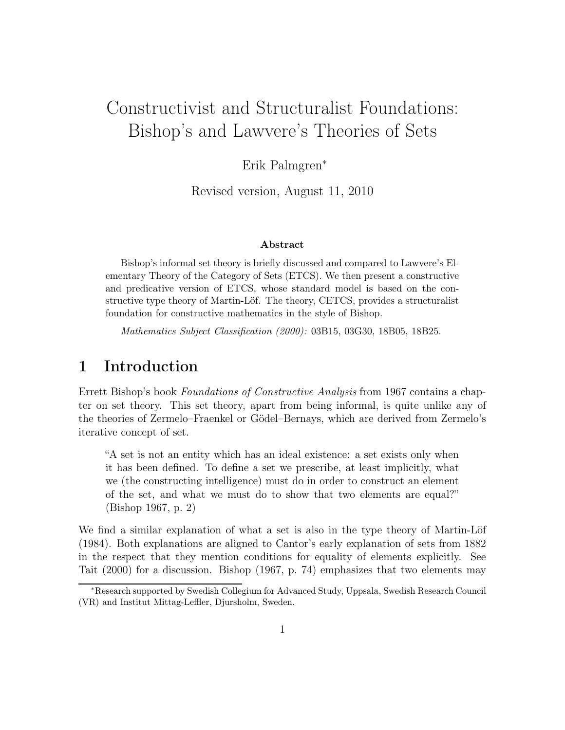# Constructivist and Structuralist Foundations: Bishop's and Lawvere's Theories of Sets

Erik Palmgren<sup>∗</sup>

Revised version, August 11, 2010

#### Abstract

Bishop's informal set theory is briefly discussed and compared to Lawvere's Elementary Theory of the Category of Sets (ETCS). We then present a constructive and predicative version of ETCS, whose standard model is based on the constructive type theory of Martin-Löf. The theory, CETCS, provides a structuralist foundation for constructive mathematics in the style of Bishop.

Mathematics Subject Classification (2000): 03B15, 03G30, 18B05, 18B25.

# 1 Introduction

Errett Bishop's book Foundations of Constructive Analysis from 1967 contains a chapter on set theory. This set theory, apart from being informal, is quite unlike any of the theories of Zermelo–Fraenkel or Gödel–Bernays, which are derived from Zermelo's iterative concept of set.

"A set is not an entity which has an ideal existence: a set exists only when it has been defined. To define a set we prescribe, at least implicitly, what we (the constructing intelligence) must do in order to construct an element of the set, and what we must do to show that two elements are equal?" (Bishop 1967, p. 2)

We find a similar explanation of what a set is also in the type theory of Martin-Löf (1984). Both explanations are aligned to Cantor's early explanation of sets from 1882 in the respect that they mention conditions for equality of elements explicitly. See Tait (2000) for a discussion. Bishop (1967, p. 74) emphasizes that two elements may

<sup>∗</sup>Research supported by Swedish Collegium for Advanced Study, Uppsala, Swedish Research Council (VR) and Institut Mittag-Leffler, Djursholm, Sweden.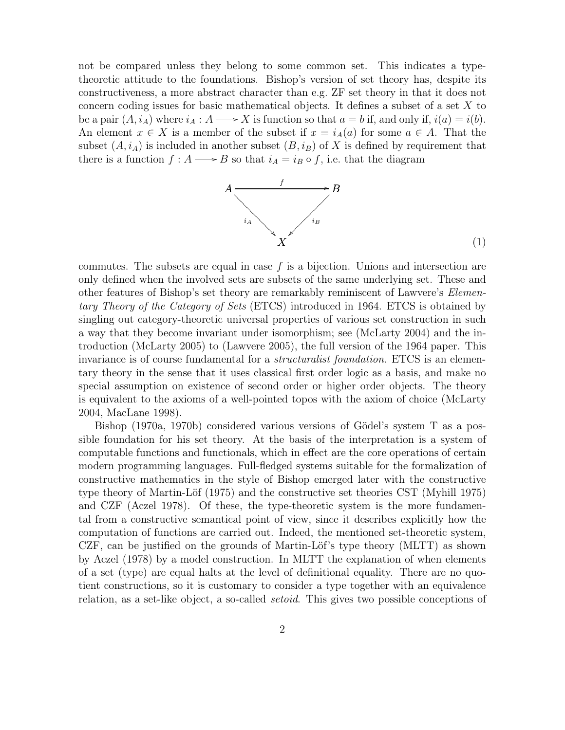not be compared unless they belong to some common set. This indicates a typetheoretic attitude to the foundations. Bishop's version of set theory has, despite its constructiveness, a more abstract character than e.g. ZF set theory in that it does not concern coding issues for basic mathematical objects. It defines a subset of a set X to be a pair  $(A, i_A)$  where  $i_A : A \longrightarrow X$  is function so that  $a = b$  if, and only if,  $i(a) = i(b)$ . An element  $x \in X$  is a member of the subset if  $x = i_A(a)$  for some  $a \in A$ . That the subset  $(A, i_A)$  is included in another subset  $(B, i_B)$  of X is defined by requirement that there is a function  $f : A \longrightarrow B$  so that  $i_A = i_B \circ f$ , i.e. that the diagram



(1)

commutes. The subsets are equal in case  $f$  is a bijection. Unions and intersection are only defined when the involved sets are subsets of the same underlying set. These and other features of Bishop's set theory are remarkably reminiscent of Lawvere's Elementary Theory of the Category of Sets (ETCS) introduced in 1964. ETCS is obtained by singling out category-theoretic universal properties of various set construction in such a way that they become invariant under isomorphism; see (McLarty 2004) and the introduction (McLarty 2005) to (Lawvere 2005), the full version of the 1964 paper. This invariance is of course fundamental for a *structuralist foundation*. ETCS is an elementary theory in the sense that it uses classical first order logic as a basis, and make no special assumption on existence of second order or higher order objects. The theory is equivalent to the axioms of a well-pointed topos with the axiom of choice (McLarty 2004, MacLane 1998).

Bishop (1970a, 1970b) considered various versions of Gödel's system T as a possible foundation for his set theory. At the basis of the interpretation is a system of computable functions and functionals, which in effect are the core operations of certain modern programming languages. Full-fledged systems suitable for the formalization of constructive mathematics in the style of Bishop emerged later with the constructive type theory of Martin-Löf (1975) and the constructive set theories CST (Myhill 1975) and CZF (Aczel 1978). Of these, the type-theoretic system is the more fundamental from a constructive semantical point of view, since it describes explicitly how the computation of functions are carried out. Indeed, the mentioned set-theoretic system, CZF, can be justified on the grounds of Martin-Löf's type theory (MLTT) as shown by Aczel (1978) by a model construction. In MLTT the explanation of when elements of a set (type) are equal halts at the level of definitional equality. There are no quotient constructions, so it is customary to consider a type together with an equivalence relation, as a set-like object, a so-called setoid. This gives two possible conceptions of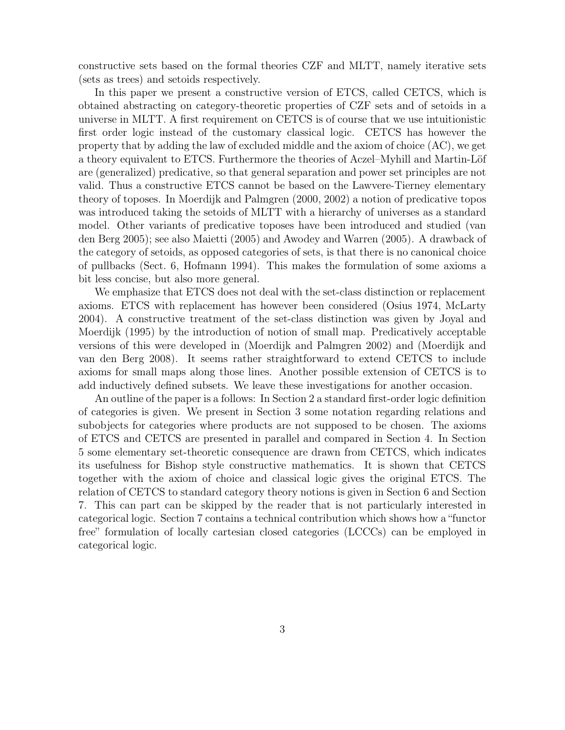constructive sets based on the formal theories CZF and MLTT, namely iterative sets (sets as trees) and setoids respectively.

In this paper we present a constructive version of ETCS, called CETCS, which is obtained abstracting on category-theoretic properties of CZF sets and of setoids in a universe in MLTT. A first requirement on CETCS is of course that we use intuitionistic first order logic instead of the customary classical logic. CETCS has however the property that by adding the law of excluded middle and the axiom of choice (AC), we get a theory equivalent to ETCS. Furthermore the theories of Aczel–Myhill and Martin-Löf are (generalized) predicative, so that general separation and power set principles are not valid. Thus a constructive ETCS cannot be based on the Lawvere-Tierney elementary theory of toposes. In Moerdijk and Palmgren (2000, 2002) a notion of predicative topos was introduced taking the setoids of MLTT with a hierarchy of universes as a standard model. Other variants of predicative toposes have been introduced and studied (van den Berg 2005); see also Maietti (2005) and Awodey and Warren (2005). A drawback of the category of setoids, as opposed categories of sets, is that there is no canonical choice of pullbacks (Sect. 6, Hofmann 1994). This makes the formulation of some axioms a bit less concise, but also more general.

We emphasize that ETCS does not deal with the set-class distinction or replacement axioms. ETCS with replacement has however been considered (Osius 1974, McLarty 2004). A constructive treatment of the set-class distinction was given by Joyal and Moerdijk (1995) by the introduction of notion of small map. Predicatively acceptable versions of this were developed in (Moerdijk and Palmgren 2002) and (Moerdijk and van den Berg 2008). It seems rather straightforward to extend CETCS to include axioms for small maps along those lines. Another possible extension of CETCS is to add inductively defined subsets. We leave these investigations for another occasion.

An outline of the paper is a follows: In Section 2 a standard first-order logic definition of categories is given. We present in Section 3 some notation regarding relations and subobjects for categories where products are not supposed to be chosen. The axioms of ETCS and CETCS are presented in parallel and compared in Section 4. In Section 5 some elementary set-theoretic consequence are drawn from CETCS, which indicates its usefulness for Bishop style constructive mathematics. It is shown that CETCS together with the axiom of choice and classical logic gives the original ETCS. The relation of CETCS to standard category theory notions is given in Section 6 and Section 7. This can part can be skipped by the reader that is not particularly interested in categorical logic. Section 7 contains a technical contribution which shows how a "functor free" formulation of locally cartesian closed categories (LCCCs) can be employed in categorical logic.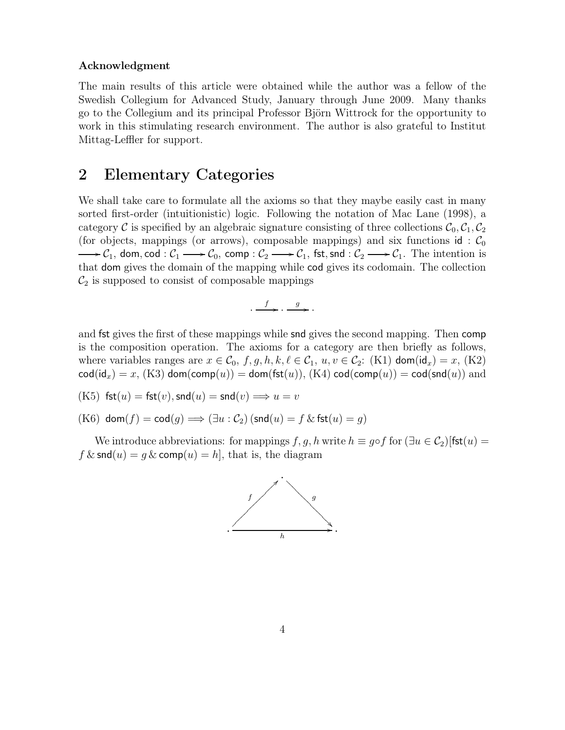#### Acknowledgment

The main results of this article were obtained while the author was a fellow of the Swedish Collegium for Advanced Study, January through June 2009. Many thanks go to the Collegium and its principal Professor Björn Wittrock for the opportunity to work in this stimulating research environment. The author is also grateful to Institut Mittag-Leffler for support.

#### 2 Elementary Categories

We shall take care to formulate all the axioms so that they maybe easily cast in many sorted first-order (intuitionistic) logic. Following the notation of Mac Lane (1998), a category C is specified by an algebraic signature consisting of three collections  $C_0, C_1, C_2$ (for objects, mappings (or arrows), composable mappings) and six functions id:  $\mathcal{C}_0$  $C_1$ , dom, cod :  $C_1 \longrightarrow C_0$ , comp :  $C_2 \longrightarrow C_1$ , fst, snd :  $C_2 \longrightarrow C_1$ . The intention is that dom gives the domain of the mapping while cod gives its codomain. The collection  $\mathcal{C}_2$  is supposed to consist of composable mappings

$$
\cdot \xrightarrow{f} \cdot \xrightarrow{g} \cdot
$$

and fst gives the first of these mappings while snd gives the second mapping. Then comp is the composition operation. The axioms for a category are then briefly as follows, where variables ranges are  $x \in \mathcal{C}_0$ ,  $f, g, h, k, \ell \in \mathcal{C}_1$ ,  $u, v \in \mathcal{C}_2$ : (K1) dom(id<sub>x</sub>) = x, (K2)  $\text{cod}(\text{id}_x) = x$ ,  $(K3)$  dom $(\text{comp}(u)) =$  dom $(\text{fst}(u))$ ,  $(K4)$   $\text{cod}(\text{comp}(u)) = \text{cod}(\text{snd}(u))$  and

$$
\text{(K5) } \mathsf{fst}(u) = \mathsf{fst}(v), \mathsf{snd}(u) = \mathsf{snd}(v) \Longrightarrow u = v
$$

(K6) dom $(f) = \text{cod}(g) \Longrightarrow (\exists u : C_2)$  (snd $(u) = f \& \text{fst}(u) = g$ )

We introduce abbreviations: for mappings f, q, h write  $h \equiv q \circ f$  for  $(\exists u \in C_2)$  [fst $(u)$  =  $f \& \textsf{snd}(u) = g \& \textsf{comp}(u) = h$ , that is, the diagram

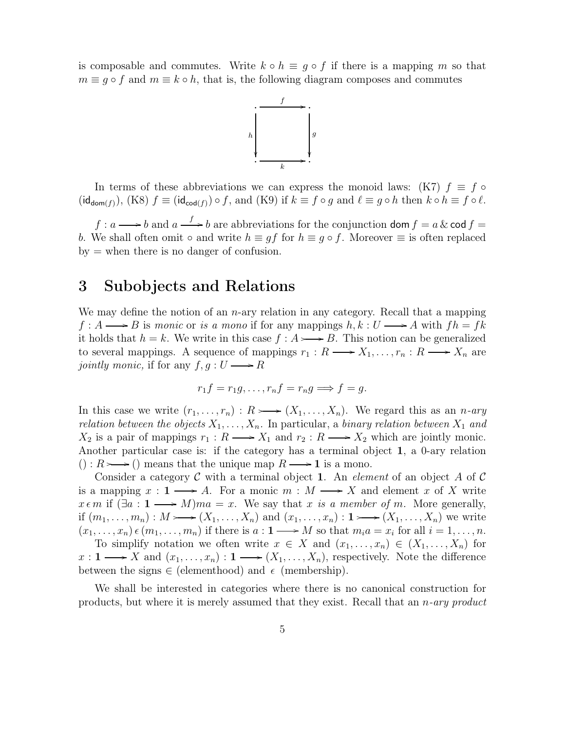is composable and commutes. Write  $k \circ h \equiv g \circ f$  if there is a mapping m so that  $m \equiv g \circ f$  and  $m \equiv k \circ h$ , that is, the following diagram composes and commutes



In terms of these abbreviations we can express the monoid laws: (K7)  $f \equiv f \circ$  $(\mathsf{id}_{\mathsf{dom}(f)}), (\mathsf{K8}) \; f \equiv (\mathsf{id}_{\mathsf{cod}(f)}) \circ f, \text{ and } (\mathsf{K9}) \text{ if } k \equiv f \circ g \text{ and } \ell \equiv g \circ h \text{ then } k \circ h \equiv f \circ \ell.$ 

 $f: a \longrightarrow b$  and  $a \stackrel{f}{\longrightarrow} b$  are abbreviations for the conjunction dom  $f = a \& \text{cod } f = b$ b. We shall often omit  $\circ$  and write  $h \equiv gf$  for  $h \equiv g \circ f$ . Moreover  $\equiv$  is often replaced  $by =$  when there is no danger of confusion.

#### 3 Subobjects and Relations

We may define the notion of an  $n$ -ary relation in any category. Recall that a mapping  $f : A \longrightarrow B$  is monic or is a mono if for any mappings  $h, k : U \longrightarrow A$  with  $fh = fk$ it holds that  $h = k$ . We write in this case  $f : A \rightarrow B$ . This notion can be generalized to several mappings. A sequence of mappings  $r_1 : R \longrightarrow X_1, \ldots, r_n : R \longrightarrow X_n$  are jointly monic, if for any  $f, g: U \longrightarrow R$ 

$$
r_1f = r_1g, \ldots, r_nf = r_ng \Longrightarrow f = g.
$$

In this case we write  $(r_1, \ldots, r_n) : R \rightarrow (X_1, \ldots, X_n)$ . We regard this as an *n*-ary relation between the objects  $X_1, \ldots, X_n$ . In particular, a binary relation between  $X_1$  and  $X_2$  is a pair of mappings  $r_1 : R \longrightarrow X_1$  and  $r_2 : R \longrightarrow X_2$  which are jointly monic. Another particular case is: if the category has a terminal object 1, a 0-ary relation  $() : R \rightarrow ()$  means that the unique map  $R \rightarrow 1$  is a mono.

Consider a category C with a terminal object 1. An *element* of an object A of C is a mapping  $x: 1 \longrightarrow A$ . For a monic  $m: M \longrightarrow X$  and element x of X write  $x \in m$  if  $(\exists a: 1 \longrightarrow M)$ ma = x. We say that x is a member of m. More generally, if  $(m_1, \ldots, m_n) : M \longrightarrow (X_1, \ldots, X_n)$  and  $(x_1, \ldots, x_n) : 1 \longrightarrow (X_1, \ldots, X_n)$  we write  $(x_1, \ldots, x_n) \in (m_1, \ldots, m_n)$  if there is  $a: \mathbf{1} \longrightarrow M$  so that  $m_i a = x_i$  for all  $i = 1, \ldots, n$ . To simplify notation we often write  $x \in X$  and  $(x_1, \ldots, x_n) \in (X_1, \ldots, X_n)$  for  $x: 1 \longrightarrow X$  and  $(x_1, \ldots, x_n): 1 \longrightarrow (X_1, \ldots, X_n)$ , respectively. Note the difference between the signs  $\in$  (elementhood) and  $\epsilon$  (membership).

We shall be interested in categories where there is no canonical construction for products, but where it is merely assumed that they exist. Recall that an  $n$ -ary product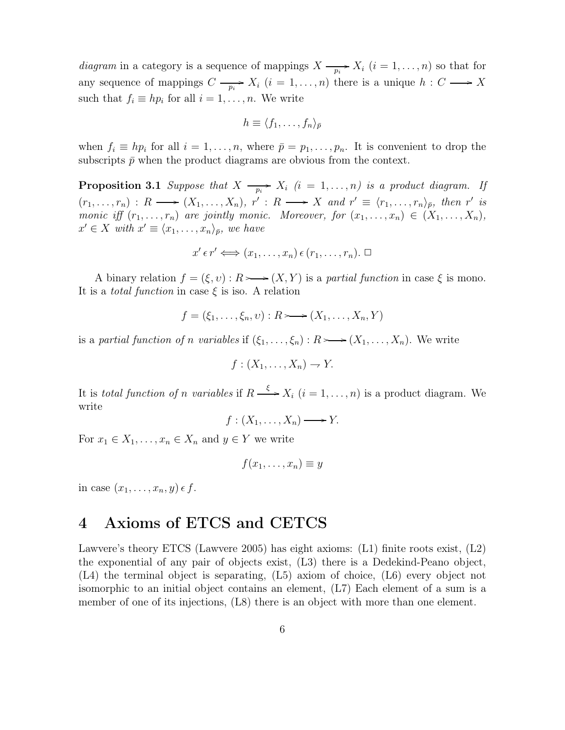diagram in a category is a sequence of mappings  $X \longrightarrow X_i$   $(i = 1, ..., n)$  so that for any sequence of mappings  $C \longrightarrow X_i$   $(i = 1, ..., n)$  there is a unique  $h : C \longrightarrow X$ such that  $f_i \equiv hp_i$  for all  $i = 1, \ldots, n$ . We write

$$
h \equiv \langle f_1, \ldots, f_n \rangle_{\bar{p}}
$$

when  $f_i \equiv hp_i$  for all  $i = 1, \ldots, n$ , where  $\bar{p} = p_1, \ldots, p_n$ . It is convenient to drop the subscripts  $\bar{p}$  when the product diagrams are obvious from the context.

**Proposition 3.1** Suppose that  $X \longrightarrow X_i$   $(i = 1, ..., n)$  is a product diagram. If  $(r_1,\ldots,r_n): R \longrightarrow (X_1,\ldots,X_n), r': R \longrightarrow X \text{ and } r' \equiv \langle r_1,\ldots,r_n \rangle_{\bar{p}}, \text{ then } r' \text{ is}$ monic iff  $(r_1, \ldots, r_n)$  are jointly monic. Moreover, for  $(x_1, \ldots, x_n) \in (X_1, \ldots, X_n)$ ,  $x' \in X$  with  $x' \equiv \langle x_1, \ldots, x_n \rangle_{\bar{p}},$  we have

$$
x' \in r' \Longleftrightarrow (x_1, \ldots, x_n) \in (r_1, \ldots, r_n). \ \Box
$$

A binary relation  $f = (\xi, v) : R \rightarrow (X, Y)$  is a partial function in case  $\xi$  is mono. It is a *total function* in case  $\xi$  is iso. A relation

$$
f = (\xi_1, \ldots, \xi_n, v) : R \longrightarrow (X_1, \ldots, X_n, Y)
$$

is a partial function of n variables if  $(\xi_1, \ldots, \xi_n) : R \rightarrow (X_1, \ldots, X_n)$ . We write

$$
f:(X_1,\ldots,X_n)\to Y.
$$

It is total function of n variables if  $R \stackrel{\xi}{\longrightarrow} X_i$   $(i = 1, ..., n)$  is a product diagram. We write

 $f: (X_1, \ldots, X_n) \longrightarrow Y.$ 

For  $x_1 \in X_1, \ldots, x_n \in X_n$  and  $y \in Y$  we write

$$
f(x_1,\ldots,x_n)\equiv y
$$

in case  $(x_1, \ldots, x_n, y) \in f$ .

## 4 Axioms of ETCS and CETCS

Lawvere's theory ETCS (Lawvere 2005) has eight axioms: (L1) finite roots exist, (L2) the exponential of any pair of objects exist, (L3) there is a Dedekind-Peano object, (L4) the terminal object is separating, (L5) axiom of choice, (L6) every object not isomorphic to an initial object contains an element, (L7) Each element of a sum is a member of one of its injections, (L8) there is an object with more than one element.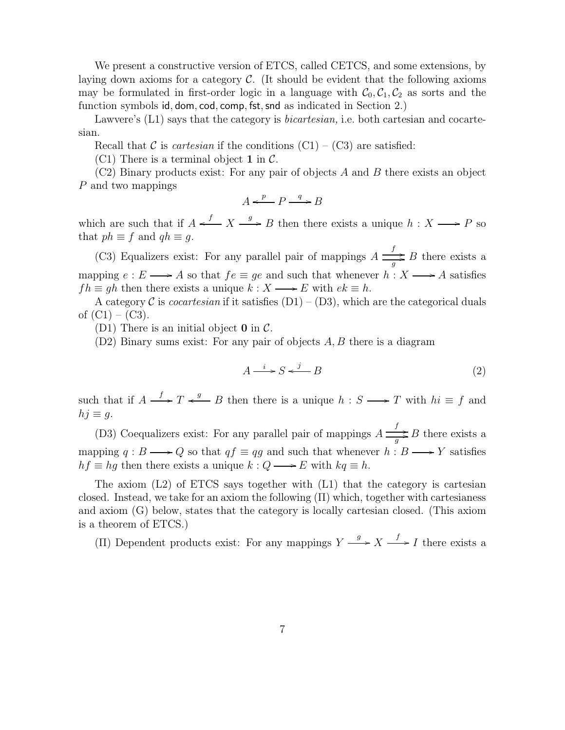We present a constructive version of ETCS, called CETCS, and some extensions, by laying down axioms for a category  $\mathcal{C}$ . (It should be evident that the following axioms may be formulated in first-order logic in a language with  $C_0, C_1, C_2$  as sorts and the function symbols id, dom, cod, comp, fst, snd as indicated in Section 2.)

Lawvere's (L1) says that the category is *bicartesian*, i.e. both cartesian and cocartesian.

Recall that C is *cartesian* if the conditions  $(Cl) - (C3)$  are satisfied:

(C1) There is a terminal object 1 in  $\mathcal{C}$ .

 $(C2)$  Binary products exist: For any pair of objects A and B there exists an object P and two mappings

$$
A \xleftarrow{p} P \xrightarrow{q} B
$$

which are such that if  $A \xleftarrow{f} X \xrightarrow{g} B$  then there exists a unique  $h : X \longrightarrow P$  so that  $ph \equiv f$  and  $qh \equiv g$ .

(C3) Equalizers exist: For any parallel pair of mappings  $A \frac{f}{\sqrt{2\pi}}$ .  $\frac{a}{g}$  B there exists a mapping  $e : E \longrightarrow A$  so that  $fe \equiv ge$  and such that whenever  $h : X \longrightarrow A$  satisfies  $fh \equiv gh$  then there exists a unique  $k : X \longrightarrow E$  with  $ek \equiv h$ .

A category C is *cocartesian* if it satisfies  $(D1) - (D3)$ , which are the categorical duals of  $(C1) - (C3)$ .

(D1) There is an initial object  $\bf{0}$  in  $\mathcal{C}$ .

 $(D2)$  Binary sums exist: For any pair of objects A, B there is a diagram

$$
A \xrightarrow{i} S \xleftarrow{j} B \tag{2}
$$

such that if  $A \xrightarrow{f} T \xleftarrow{g} B$  then there is a unique  $h : S \longrightarrow T$  with  $hi \equiv f$  and  $hj \equiv q$ .

(D3) Coequalizers exist: For any parallel pair of mappings  $A \frac{f}{\sqrt{2}}$ .  $\frac{y}{g}$  B there exists a mapping  $q : B \longrightarrow Q$  so that  $qf \equiv qg$  and such that whenever  $h : B \longrightarrow Y$  satisfies  $hf \equiv hg$  then there exists a unique  $k: Q \longrightarrow E$  with  $kq \equiv h$ .

The axiom  $(L2)$  of ETCS says together with  $(L1)$  that the category is cartesian closed. Instead, we take for an axiom the following  $(\Pi)$  which, together with cartesianess and axiom (G) below, states that the category is locally cartesian closed. (This axiom is a theorem of ETCS.)

(II) Dependent products exist: For any mappings  $Y \xrightarrow{g} X \xrightarrow{f} I$  there exists a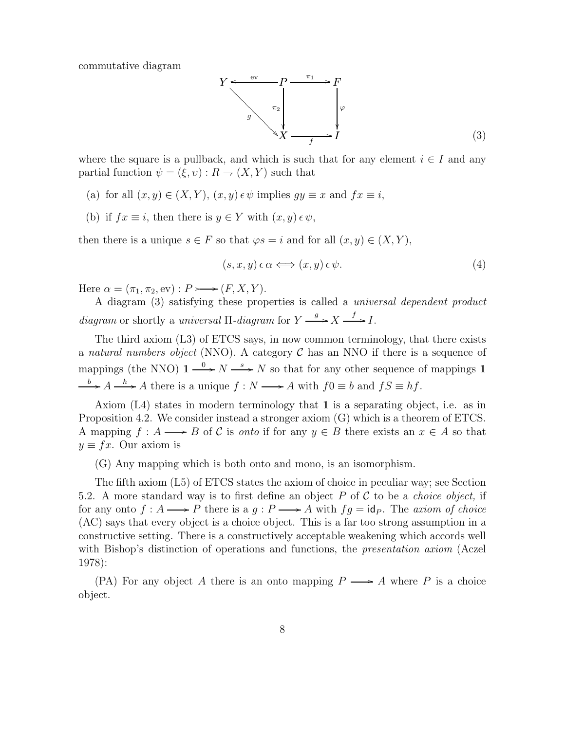commutative diagram



where the square is a pullback, and which is such that for any element  $i \in I$  and any partial function  $\psi = (\xi, v) : R \to (X, Y)$  such that

- (a) for all  $(x, y) \in (X, Y), (x, y) \in \psi$  implies  $gy \equiv x$  and  $fx \equiv i$ ,
- (b) if  $fx \equiv i$ , then there is  $y \in Y$  with  $(x, y) \in \psi$ ,

then there is a unique  $s \in F$  so that  $\varphi s = i$  and for all  $(x, y) \in (X, Y)$ ,

$$
(s, x, y) \epsilon \alpha \Longleftrightarrow (x, y) \epsilon \psi. \tag{4}
$$

Here  $\alpha = (\pi_1, \pi_2, \text{ev}) : P \longrightarrow (F, X, Y).$ 

A diagram (3) satisfying these properties is called a universal dependent product diagram or shortly a universal  $\Pi$ -diagram for  $Y \xrightarrow{g} X \xrightarrow{f} I$ .

The third axiom (L3) of ETCS says, in now common terminology, that there exists a natural numbers object (NNO). A category  $C$  has an NNO if there is a sequence of mappings (the NNO)  $1 \xrightarrow{0} N \xrightarrow{s} N$  so that for any other sequence of mappings 1  $b \rightarrow A \longrightarrow A$  there is a unique  $f : N \longrightarrow A$  with  $f0 \equiv b$  and  $fS \equiv hf$ .

Axiom  $(L4)$  states in modern terminology that 1 is a separating object, i.e. as in Proposition 4.2. We consider instead a stronger axiom (G) which is a theorem of ETCS. A mapping  $f : A \longrightarrow B$  of C is onto if for any  $y \in B$  there exists an  $x \in A$  so that  $y \equiv fx$ . Our axiom is

(G) Any mapping which is both onto and mono, is an isomorphism.

The fifth axiom (L5) of ETCS states the axiom of choice in peculiar way; see Section 5.2. A more standard way is to first define an object  $P$  of  $C$  to be a *choice object*, if for any onto  $f : A \longrightarrow P$  there is a  $g : P \longrightarrow A$  with  $fg = id_P$ . The axiom of choice (AC) says that every object is a choice object. This is a far too strong assumption in a constructive setting. There is a constructively acceptable weakening which accords well with Bishop's distinction of operations and functions, the *presentation axiom* (Aczel 1978):

(PA) For any object A there is an onto mapping  $P \longrightarrow A$  where P is a choice object.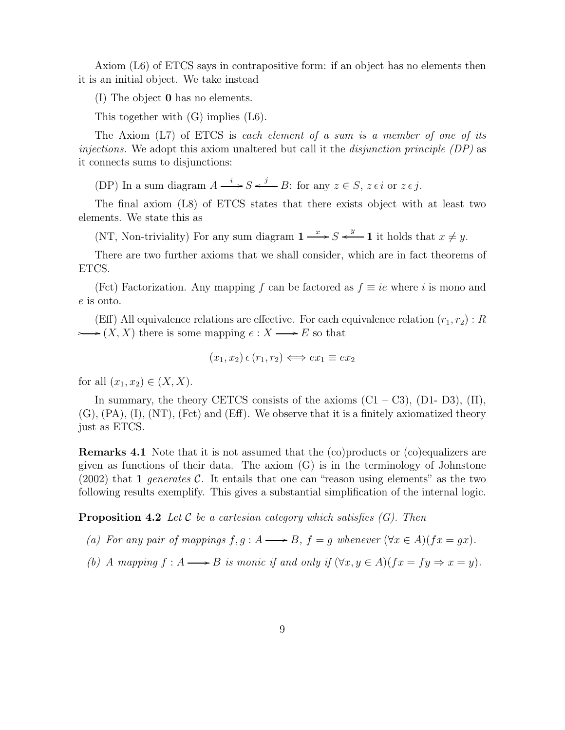Axiom (L6) of ETCS says in contrapositive form: if an object has no elements then it is an initial object. We take instead

(I) The object 0 has no elements.

This together with (G) implies (L6).

The Axiom  $(L7)$  of ETCS is each element of a sum is a member of one of its injections. We adopt this axiom unaltered but call it the *disjunction principle (DP)* as it connects sums to disjunctions:

(DP) In a sum diagram  $A \xrightarrow{i} S \xleftarrow{j} B$ : for any  $z \in S$ ,  $z \in i$  or  $z \in j$ .

The final axiom (L8) of ETCS states that there exists object with at least two elements. We state this as

(NT, Non-triviality) For any sum diagram  $1 \longrightarrow S \stackrel{y}{\longrightarrow} 1$  it holds that  $x \neq y$ .

There are two further axioms that we shall consider, which are in fact theorems of ETCS.

(Fct) Factorization. Any mapping f can be factored as  $f \equiv ie$  where i is mono and e is onto.

(Eff) All equivalence relations are effective. For each equivalence relation  $(r_1, r_2)$ : R  $\longrightarrow (X, X)$  there is some mapping  $e : X \longrightarrow E$  so that

$$
(x_1, x_2) \in (r_1, r_2) \iff ex_1 \equiv ex_2
$$

for all  $(x_1, x_2) \in (X, X)$ .

In summary, the theory CETCS consists of the axioms  $(C1 - C3)$ ,  $(D1 - D3)$ ,  $(\Pi)$ ,  $(G)$ ,  $(PA)$ ,  $(I)$ ,  $(NT)$ ,  $(Fct)$  and  $(Eff)$ . We observe that it is a finitely axiomatized theory just as ETCS.

Remarks 4.1 Note that it is not assumed that the (co)products or (co)equalizers are given as functions of their data. The axiom (G) is in the terminology of Johnstone  $(2002)$  that 1 generates C. It entails that one can "reason using elements" as the two following results exemplify. This gives a substantial simplification of the internal logic.

**Proposition 4.2** Let C be a cartesian category which satisfies  $(G)$ . Then

- (a) For any pair of mappings  $f, g : A \longrightarrow B$ ,  $f = g$  whenever  $(\forall x \in A)(fx = gx)$ .
- (b) A mapping  $f : A \longrightarrow B$  is monic if and only if  $(\forall x, y \in A)(fx = fy \Rightarrow x = y)$ .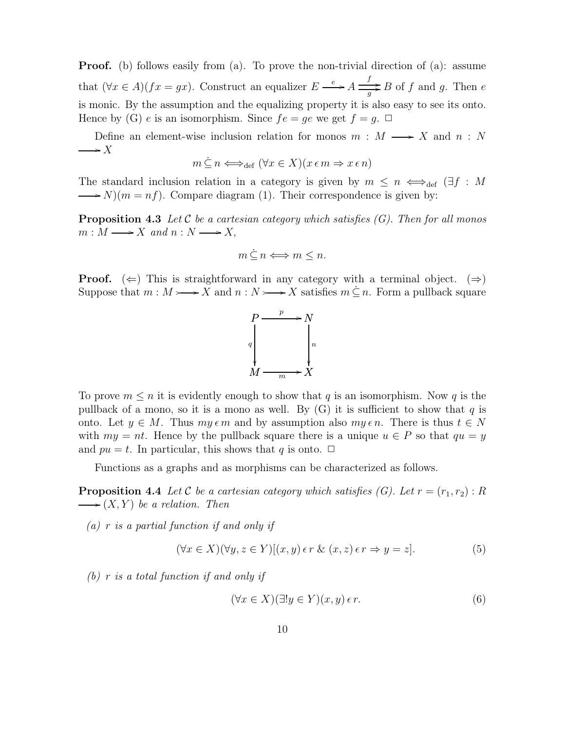**Proof.** (b) follows easily from (a). To prove the non-trivial direction of (a): assume that  $(\forall x \in A)(fx = gx)$ . Construct an equalizer  $E \xrightarrow{e} A \longrightarrow f$ .  $\frac{d}{g}$ B of f and g. Then e is monic. By the assumption and the equalizing property it is also easy to see its onto. Hence by (G) e is an isomorphism. Since  $fe = ge$  we get  $f = g$ .  $\Box$ 

Define an element-wise inclusion relation for monos  $m : M \longrightarrow X$  and  $n : N$  $\longrightarrow X$ 

$$
m \subseteq n \Longleftrightarrow_{\text{def}} (\forall x \in X)(x \in m \Rightarrow x \in n)
$$

The standard inclusion relation in a category is given by  $m \leq n \iff_{def} (\exists f : M$  $\longrightarrow N$ )( $m = nf$ ). Compare diagram (1). Their correspondence is given by:

**Proposition 4.3** Let C be a cartesian category which satisfies  $(G)$ . Then for all monos  $m : M \longrightarrow X$  and  $n : N \longrightarrow X$ ,

$$
m \leq n \Longleftrightarrow m \leq n.
$$

**Proof.** ( $\Leftarrow$ ) This is straightforward in any category with a terminal object. ( $\Rightarrow$ ) Suppose that  $m : M \rightarrow X$  and  $n : N \rightarrow X$  satisfies  $m \subseteq n$ . Form a pullback square



To prove  $m \leq n$  it is evidently enough to show that q is an isomorphism. Now q is the pullback of a mono, so it is a mono as well. By  $(G)$  it is sufficient to show that q is onto. Let  $y \in M$ . Thus  $my \in m$  and by assumption also  $my \in n$ . There is thus  $t \in N$ with  $my = nt$ . Hence by the pullback square there is a unique  $u \in P$  so that  $qu = y$ and  $pu = t$ . In particular, this shows that q is onto.  $\Box$ 

Functions as a graphs and as morphisms can be characterized as follows.

**Proposition 4.4** Let C be a cartesian category which satisfies (G). Let  $r = (r_1, r_2) : R$  $\longrightarrow$   $(X, Y)$  be a relation. Then

 $(a)$  r is a partial function if and only if

$$
(\forall x \in X)(\forall y, z \in Y)[(x, y) \in r \& (x, z) \in r \Rightarrow y = z]. \tag{5}
$$

(b) r is a total function if and only if

$$
(\forall x \in X)(\exists! y \in Y)(x, y) \in r. \tag{6}
$$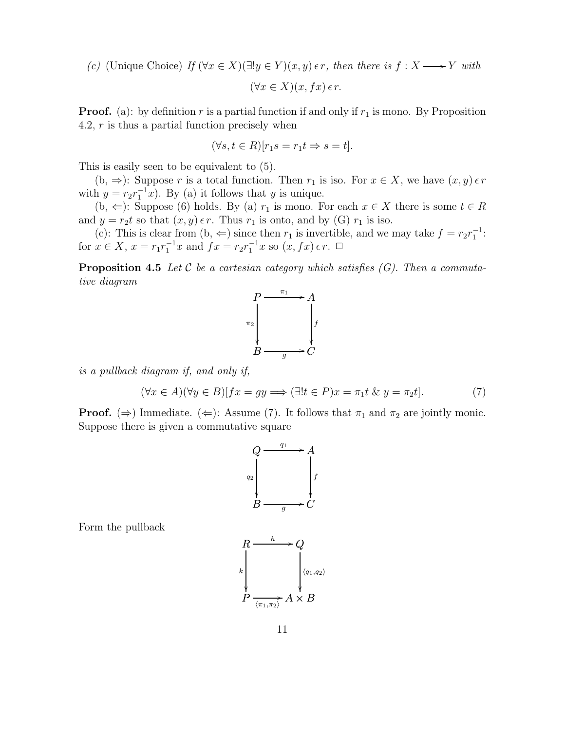(c) (Unique Choice) If  $(\forall x \in X)(\exists! y \in Y)(x, y) \in r$ , then there is  $f: X \longrightarrow Y$  with

$$
(\forall x \in X)(x, fx) \in r.
$$

**Proof.** (a): by definition r is a partial function if and only if  $r_1$  is mono. By Proposition 4.2, r is thus a partial function precisely when

$$
(\forall s, t \in R)[r_1s = r_1t \Rightarrow s = t].
$$

This is easily seen to be equivalent to (5).

(b,  $\Rightarrow$ ): Suppose r is a total function. Then r<sub>1</sub> is iso. For  $x \in X$ , we have  $(x, y) \in r$ with  $y = r_2 r_1^{-1} x$ . By (a) it follows that y is unique.

 $(b, \Leftarrow)$ : Suppose (6) holds. By (a)  $r_1$  is mono. For each  $x \in X$  there is some  $t \in R$ and  $y = r_2t$  so that  $(x, y) \in r$ . Thus  $r_1$  is onto, and by (G)  $r_1$  is iso.

(c): This is clear from  $(b, \Leftarrow)$  since then  $r_1$  is invertible, and we may take  $f = r_2 r_1^{-1}$ . for  $x \in X$ ,  $x = r_1 r_1^{-1} x$  and  $fx = r_2 r_1^{-1} x$  so  $(x, fx) \in r$ .  $\Box$ 

**Proposition 4.5** Let  $C$  be a cartesian category which satisfies  $(G)$ . Then a commutative diagram



is a pullback diagram if, and only if,

$$
(\forall x \in A)(\forall y \in B)[fx = gy \Longrightarrow (\exists! t \in P)x = \pi_1 t \& y = \pi_2 t]. \tag{7}
$$

**Proof.** ( $\Rightarrow$ ) Immediate. ( $\Leftarrow$ ): Assume (7). It follows that  $\pi_1$  and  $\pi_2$  are jointly monic. Suppose there is given a commutative square

$$
Q \xrightarrow{q_1} A
$$
\n
$$
q_2
$$
\n
$$
B \xrightarrow{q_2} C
$$

Form the pullback

$$
R \xrightarrow{k} Q
$$
\n
$$
P \xrightarrow{\langle q_1, q_2 \rangle} A \times B
$$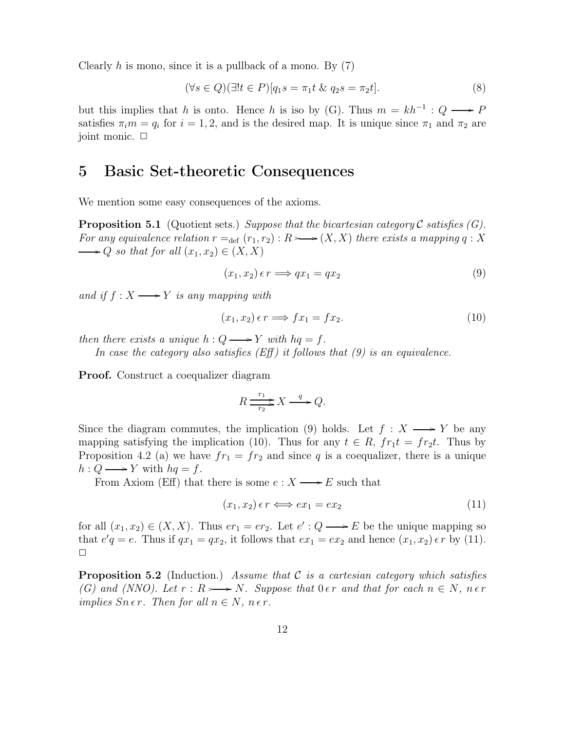Clearly h is mono, since it is a pullback of a mono. By  $(7)$ 

$$
(\forall s \in Q)(\exists!t \in P)[q_1s = \pi_1t \& q_2s = \pi_2t]. \tag{8}
$$

but this implies that h is onto. Hence h is iso by (G). Thus  $m = kh^{-1}$  :  $Q \longrightarrow P$ satisfies  $\pi_i m = q_i$  for  $i = 1, 2$ , and is the desired map. It is unique since  $\pi_1$  and  $\pi_2$  are joint monic.  $\Box$ 

### 5 Basic Set-theoretic Consequences

We mention some easy consequences of the axioms.

**Proposition 5.1** (Quotient sets.) Suppose that the bicartesian category C satisfies  $(G)$ . For any equivalence relation  $r =_{def} (r_1, r_2) : R \rightarrow (X, X)$  there exists a mapping q : X  $\longrightarrow Q$  so that for all  $(x_1, x_2) \in (X, X)$ 

$$
(x_1, x_2) \epsilon r \Longrightarrow qx_1 = qx_2 \tag{9}
$$

and if  $f: X \longrightarrow Y$  is any mapping with

$$
(x_1, x_2) \epsilon r \Longrightarrow fx_1 = fx_2. \tag{10}
$$

then there exists a unique  $h: Q \longrightarrow Y$  with  $hq = f$ .

In case the category also satisfies  $(Eff)$  it follows that  $(9)$  is an equivalence.

Proof. Construct a coequalizer diagram

$$
R \xrightarrow{r_1} X \xrightarrow{q} Q.
$$

Since the diagram commutes, the implication (9) holds. Let  $f : X \longrightarrow Y$  be any mapping satisfying the implication (10). Thus for any  $t \in R$ ,  $fr_1t = fr_2t$ . Thus by Proposition 4.2 (a) we have  $fr_1 = fr_2$  and since q is a coequalizer, there is a unique  $h: Q \longrightarrow Y$  with  $hq = f$ .

From Axiom (Eff) that there is some  $e: X \longrightarrow E$  such that

$$
(x_1, x_2) \epsilon r \Longleftrightarrow ex_1 = ex_2 \tag{11}
$$

for all  $(x_1, x_2) \in (X, X)$ . Thus  $er_1 = er_2$ . Let  $e' : Q \longrightarrow E$  be the unique mapping so that  $e'q = e$ . Thus if  $qx_1 = qx_2$ , it follows that  $ex_1 = ex_2$  and hence  $(x_1, x_2) \in r$  by (11).  $\Box$ 

**Proposition 5.2** (Induction.) Assume that  $\mathcal C$  is a cartesian category which satisfies (G) and (NNO). Let  $r : R \rightarrow N$ . Suppose that  $0 \in r$  and that for each  $n \in N$ ,  $n \in r$ implies  $Sn \in r$ . Then for all  $n \in N$ ,  $n \in r$ .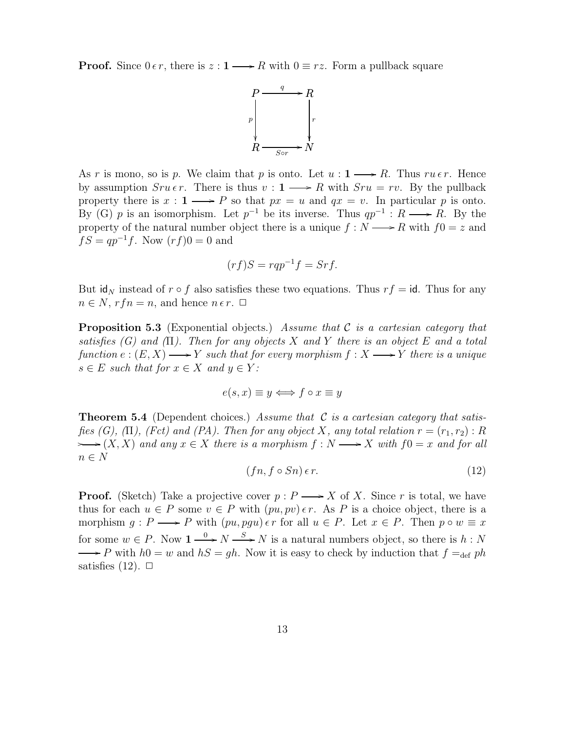**Proof.** Since  $0 \in r$ , there is  $z : 1 \longrightarrow R$  with  $0 \equiv rz$ . Form a pullback square



As r is mono, so is p. We claim that p is onto. Let  $u : 1 \longrightarrow R$ . Thus  $ru \in r$ . Hence by assumption  $Sru \epsilon r$ . There is thus  $v: 1 \longrightarrow R$  with  $Sru = rv$ . By the pullback property there is  $x : 1 \longrightarrow P$  so that  $px = u$  and  $qx = v$ . In particular p is onto. By (G) p is an isomorphism. Let  $p^{-1}$  be its inverse. Thus  $qp^{-1}: R \longrightarrow R$ . By the property of the natural number object there is a unique  $f : N \longrightarrow R$  with  $f0 = z$  and  $fS = qp^{-1}f$ . Now  $(rf)0 = 0$  and

$$
(rf)S = rqp^{-1}f = Srf.
$$

But  $\mathbf{id}_N$  instead of  $r \circ f$  also satisfies these two equations. Thus  $rf = \mathbf{id}$ . Thus for any  $n \in N$ ,  $rfn = n$ , and hence  $n \in r$ .  $\Box$ 

**Proposition 5.3** (Exponential objects.) Assume that  $C$  is a cartesian category that satisfies  $(G)$  and  $(\Pi)$ . Then for any objects X and Y there is an object E and a total function  $e:(E,X) \longrightarrow Y$  such that for every morphism  $f:X \longrightarrow Y$  there is a unique  $s \in E$  such that for  $x \in X$  and  $y \in Y$ :

$$
e(s, x) \equiv y \Longleftrightarrow f \circ x \equiv y
$$

**Theorem 5.4** (Dependent choices.) Assume that  $C$  is a cartesian category that satisfies (G), (Π), (Fct) and (PA). Then for any object X, any total relation  $r = (r_1, r_2) : R$  $\rightarrow (X, X)$  and any  $x \in X$  there is a morphism  $f: N \longrightarrow X$  with  $f0 = x$  and for all  $n \in N$ 

$$
(fn, f \circ Sn) \in r. \tag{12}
$$

**Proof.** (Sketch) Take a projective cover  $p : P \longrightarrow X$  of X. Since r is total, we have thus for each  $u \in P$  some  $v \in P$  with  $(pu, pv) \in r$ . As P is a choice object, there is a morphism  $g : P \longrightarrow P$  with  $(pu, pgu) \in r$  for all  $u \in P$ . Let  $x \in P$ . Then  $p \circ w \equiv x$ for some  $w \in P$ . Now  $1 \xrightarrow{0} N \xrightarrow{S} N$  is a natural numbers object, so there is  $h : N$  $\longrightarrow P$  with  $h0 = w$  and  $hS = gh$ . Now it is easy to check by induction that  $f =_{def} ph$ satisfies  $(12)$ .  $\Box$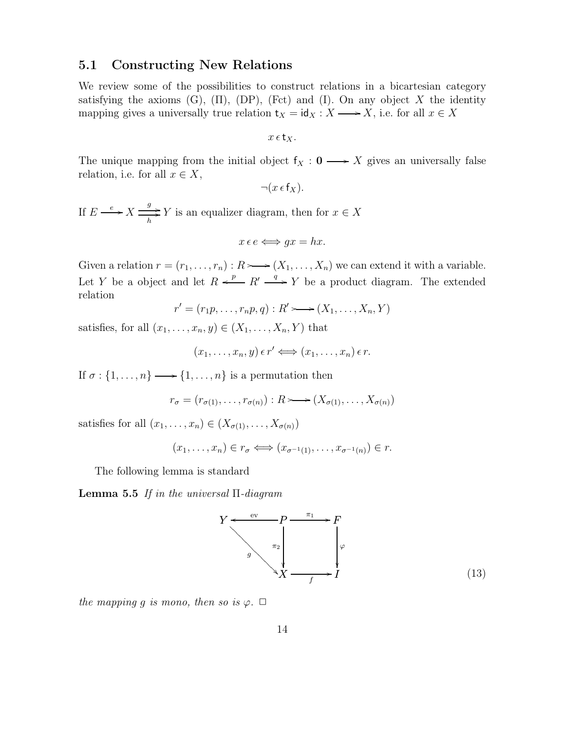#### 5.1 Constructing New Relations

We review some of the possibilities to construct relations in a bicartesian category satisfying the axioms (G),  $(\Pi)$ ,  $(DP)$ ,  $(Fct)$  and  $(I)$ . On any object X the identity mapping gives a universally true relation  $t_X = id_X : X \longrightarrow X$ , i.e. for all  $x \in X$ 

$$
x\,\epsilon\,\mathsf{t}_X.
$$

The unique mapping from the initial object  $f_X : 0 \longrightarrow X$  gives an universally false relation, i.e. for all  $x \in X$ ,

$$
\neg(x \in f_X).
$$

If  $E \xrightarrow{e} X \xrightarrow{g}$  $\frac{y}{h}$  Y is an equalizer diagram, then for  $x \in X$ 

$$
x e e \Longleftrightarrow gx = hx.
$$

Given a relation  $r = (r_1, \ldots, r_n) : R \rightarrow (X_1, \ldots, X_n)$  we can extend it with a variable. Let Y be a object and let  $R \stackrel{p}{\longrightarrow} R' \stackrel{q}{\longrightarrow} Y$  be a product diagram. The extended relation

$$
r' = (r_1p, \ldots, r_np, q) : R' \longrightarrow (X_1, \ldots, X_n, Y)
$$

satisfies, for all  $(x_1, \ldots, x_n, y) \in (X_1, \ldots, X_n, Y)$  that

$$
(x_1,\ldots,x_n,y)\,\epsilon\,r'\Longleftrightarrow (x_1,\ldots,x_n)\,\epsilon\,r.
$$

If  $\sigma: \{1, \ldots, n\} \longrightarrow \{1, \ldots, n\}$  is a permutation then

$$
r_{\sigma} = (r_{\sigma(1)}, \ldots, r_{\sigma(n)}) : R \rightarrow (X_{\sigma(1)}, \ldots, X_{\sigma(n)})
$$

satisfies for all  $(x_1, \ldots, x_n) \in (X_{\sigma(1)}, \ldots, X_{\sigma(n)})$ 

$$
(x_1,\ldots,x_n)\in r_\sigma\Longleftrightarrow (x_{\sigma^{-1}(1)},\ldots,x_{\sigma^{-1}(n)})\in r.
$$

The following lemma is standard

**Lemma 5.5** If in the universal  $\Pi$ -diagram



the mapping g is mono, then so is  $\varphi$ .  $\Box$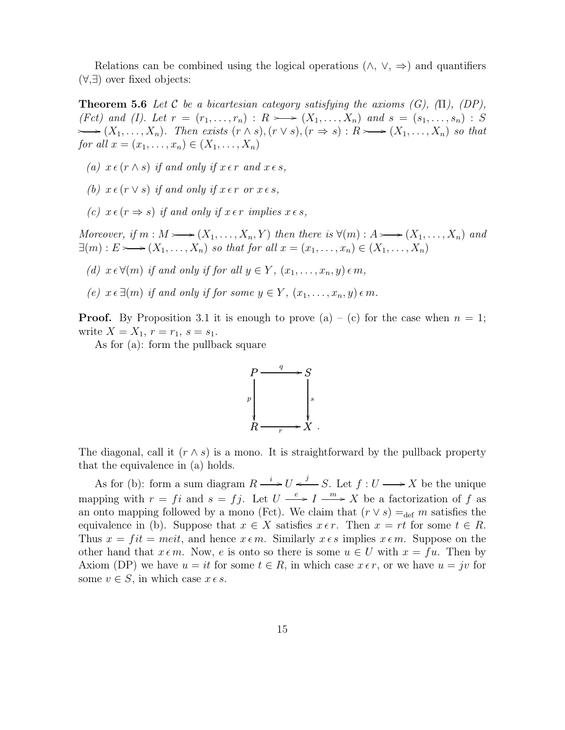Relations can be combined using the logical operations  $(\wedge, \vee, \Rightarrow)$  and quantifiers (∀,∃) over fixed objects:

**Theorem 5.6** Let C be a bicartesian category satisfying the axioms  $(G)$ ,  $(\Pi)$ ,  $(DP)$ , (Fet) and (I). Let  $r = (r_1, \ldots, r_n) : R \longrightarrow (X_1, \ldots, X_n)$  and  $s = (s_1, \ldots, s_n) : S$  $\longleftarrow (X_1, \ldots, X_n)$ . Then exists  $(r \wedge s), (r \vee s), (r \Rightarrow s) : R \rightarrow (X_1, \ldots, X_n)$  so that for all  $x = (x_1, ..., x_n) \in (X_1, ..., X_n)$ 

- (a)  $x \in (r \wedge s)$  if and only if  $x \in r$  and  $x \in s$ ,
- (b)  $x \in (r \vee s)$  if and only if  $x \in r$  or  $x \in s$ .
- (c)  $x \in (r \Rightarrow s)$  if and only if  $x \in r$  implies  $x \in s$ ,

Moreover, if  $m : M \rightarrow (X_1, \ldots, X_n, Y)$  then there is  $\forall (m) : A \rightarrow (X_1, \ldots, X_n)$  and  $\exists (m): E \longrightarrow (X_1, \ldots, X_n)$  so that for all  $x = (x_1, \ldots, x_n) \in (X_1, \ldots, X_n)$ 

(d)  $x \in \forall (m)$  if and only if for all  $y \in Y$ ,  $(x_1, \ldots, x_n, y) \in m$ ,

(e)  $x \in \exists (m)$  if and only if for some  $y \in Y$ ,  $(x_1, \ldots, x_n, y) \in m$ .

**Proof.** By Proposition 3.1 it is enough to prove (a) – (c) for the case when  $n = 1$ ; write  $X = X_1, r = r_1, s = s_1$ .

As for (a): form the pullback square



The diagonal, call it  $(r \wedge s)$  is a mono. It is straightforward by the pullback property that the equivalence in (a) holds.

As for (b): form a sum diagram  $R \stackrel{i}{\longrightarrow} U \stackrel{j}{\longleftarrow} S$ . Let  $f: U \longrightarrow X$  be the unique mapping with  $r = fi$  and  $s = fj$ . Let  $U \xrightarrow{e} I \xrightarrow{m} X$  be a factorization of f as an onto mapping followed by a mono (Fct). We claim that  $(r \vee s) =_{def} m$  satisfies the equivalence in (b). Suppose that  $x \in X$  satisfies  $x \in r$ . Then  $x = rt$  for some  $t \in R$ . Thus  $x = fit = meit$ , and hence  $x \in m$ . Similarly  $x \in s$  implies  $x \in m$ . Suppose on the other hand that  $x \in m$ . Now, e is onto so there is some  $u \in U$  with  $x = fu$ . Then by Axiom (DP) we have  $u = it$  for some  $t \in R$ , in which case  $x \in r$ , or we have  $u = jv$  for some  $v \in S$ , in which case  $x \in s$ .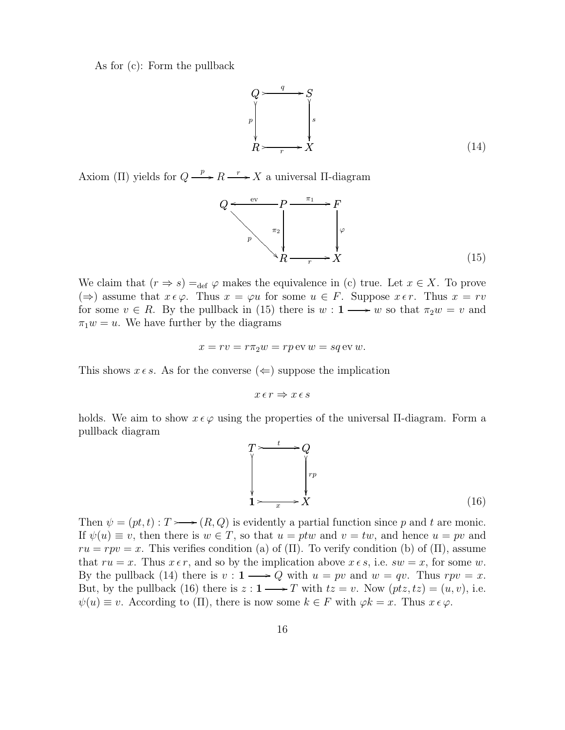As for (c): Form the pullback



Axiom (Π) yields for  $Q \xrightarrow{p} R \xrightarrow{r} X$  a universal Π-diagram

$$
Q \xrightarrow{\text{ev}} P \xrightarrow{\pi_1} F
$$
\n
$$
P \xrightarrow{\pi_2} \downarrow \qquad \downarrow \qquad \downarrow \qquad \downarrow
$$
\n
$$
R \xrightarrow{\pi_2} X \qquad (15)
$$

We claim that  $(r \Rightarrow s) =_{\text{def}} \varphi$  makes the equivalence in (c) true. Let  $x \in X$ . To prove (⇒) assume that  $x \epsilon \varphi$ . Thus  $x = \varphi u$  for some  $u \in F$ . Suppose  $x \epsilon r$ . Thus  $x = rv$ for some  $v \in R$ . By the pullback in (15) there is  $w: 1 \longrightarrow w$  so that  $\pi_2 w = v$  and  $\pi_1 w = u$ . We have further by the diagrams

$$
x = rv = r\pi_2 w = rp \,\text{ev}\, w = sq \,\text{ev}\, w.
$$

This shows  $x \in s$ . As for the converse  $(\Leftarrow)$  suppose the implication

$$
x\,\epsilon\,r \Rightarrow x\,\epsilon\,s
$$

holds. We aim to show  $x \in \varphi$  using the properties of the universal II-diagram. Form a pullback diagram



Then  $\psi = (pt, t) : T \rightarrow (R, Q)$  is evidently a partial function since p and t are monic. If  $\psi(u) \equiv v$ , then there is  $w \in T$ , so that  $u = ptw$  and  $v = tw$ , and hence  $u = pv$  and  $ru = rpv = x$ . This verifies condition (a) of (Π). To verify condition (b) of (Π), assume that  $ru = x$ . Thus  $x \in r$ , and so by the implication above  $x \in s$ , i.e.  $sw = x$ , for some w. By the pullback (14) there is  $v: 1 \longrightarrow Q$  with  $u = pv$  and  $w = qv$ . Thus  $rpv = x$ . But, by the pullback (16) there is  $z: 1 \longrightarrow T$  with  $tz = v$ . Now  $(ptz, tz) = (u, v)$ , i.e.  $\psi(u) \equiv v$ . According to (Π), there is now some  $k \in F$  with  $\varphi k = x$ . Thus  $x \in \varphi$ .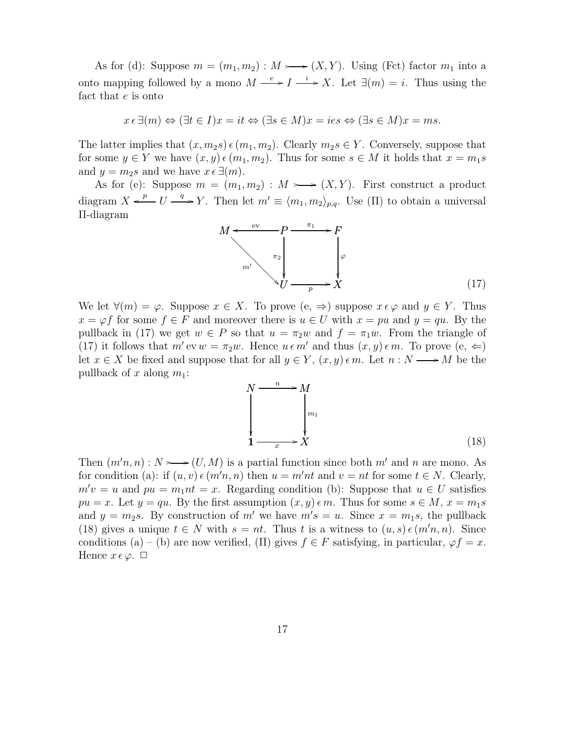As for (d): Suppose  $m = (m_1, m_2) : M \rightarrow (X, Y)$ . Using (Fet) factor  $m_1$  into a onto mapping followed by a mono  $M \xrightarrow{e} I \xrightarrow{i} X$ . Let  $\exists (m) = i$ . Thus using the fact that e is onto

$$
x \in \exists (m) \Leftrightarrow (\exists t \in I) x = it \Leftrightarrow (\exists s \in M) x = i e s \Leftrightarrow (\exists s \in M) x = ms.
$$

The latter implies that  $(x, m_2s) \in (m_1, m_2)$ . Clearly  $m_2s \in Y$ . Conversely, suppose that for some  $y \in Y$  we have  $(x, y) \in (m_1, m_2)$ . Thus for some  $s \in M$  it holds that  $x = m_1 s$ and  $y = m_2s$  and we have  $x \in \exists (m)$ .

As for (e): Suppose  $m = (m_1, m_2) : M \rightarrow (X, Y)$ . First construct a product diagram  $X \xleftarrow{p} U \xrightarrow{q} Y$ . Then let  $m' \equiv \langle m_1, m_2 \rangle_{p,q}$ . Use (II) to obtain a universal Π-diagram



We let  $\forall (m) = \varphi$ . Suppose  $x \in X$ . To prove  $(e, \Rightarrow)$  suppose  $x \in \varphi$  and  $y \in Y$ . Thus  $x = \varphi f$  for some  $f \in F$  and moreover there is  $u \in U$  with  $x = pu$  and  $y = qu$ . By the pullback in (17) we get  $w \in P$  so that  $u = \pi_2 w$  and  $f = \pi_1 w$ . From the triangle of (17) it follows that  $m'$  ev  $w = \pi_2 w$ . Hence  $u \in m'$  and thus  $(x, y) \in m$ . To prove  $(e, \Leftarrow)$ let  $x \in X$  be fixed and suppose that for all  $y \in Y$ ,  $(x, y) \in m$ . Let  $n : N \longrightarrow M$  be the pullback of x along  $m_1$ :

$$
N \xrightarrow{n} M
$$
\n
$$
\downarrow m_1
$$
\n
$$
1 \xrightarrow{x} X
$$
\n(18)

Then  $(m'n, n) : N \rightarrow (U, M)$  is a partial function since both m' and n are mono. As for condition (a): if  $(u, v) \in (m'n, n)$  then  $u = m'nt$  and  $v = nt$  for some  $t \in N$ . Clearly,  $m'v = u$  and  $pu = m_1nt = x$ . Regarding condition (b): Suppose that  $u \in U$  satisfies  $pu = x$ . Let  $y = qu$ . By the first assumption  $(x, y) \in m$ . Thus for some  $s \in M$ ,  $x = m_1s$ and  $y = m_2s$ . By construction of m' we have  $m's = u$ . Since  $x = m_1s$ , the pullback (18) gives a unique  $t \in N$  with  $s = nt$ . Thus t is a witness to  $(u, s) \in (m'n, n)$ . Since conditions (a) – (b) are now verified, (Π) gives  $f \in F$  satisfying, in particular,  $\varphi f = x$ . Hence  $x \in \varphi$ .  $\Box$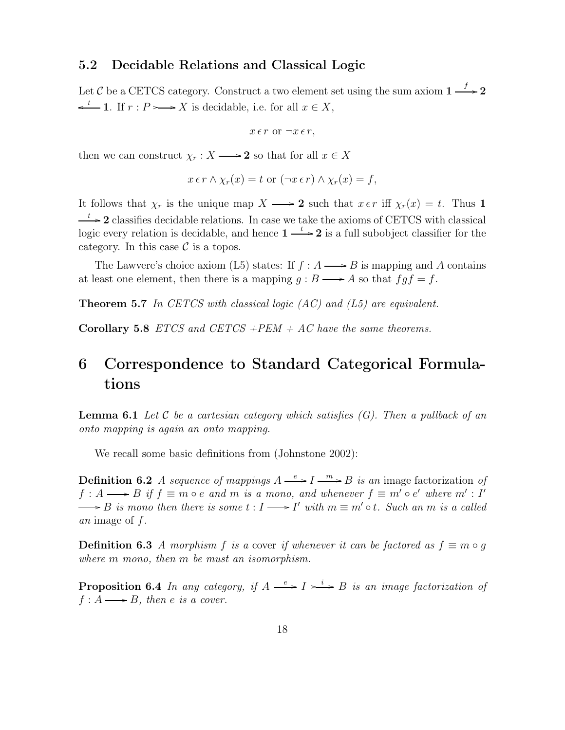#### 5.2 Decidable Relations and Classical Logic

Let C be a CETCS category. Construct a two element set using the sum axiom  $1 \stackrel{f}{\longrightarrow} 2$  $\leftarrow^t \mathbf{1}.$  If  $r : P \rightarrow X$  is decidable, i.e. for all  $x \in X$ ,

$$
x \in r \text{ or } \neg x \in r,
$$

then we can construct  $\chi_r : X \longrightarrow 2$  so that for all  $x \in X$ 

 $x \in r \wedge \chi_r(x) = t$  or  $(\neg x \in r) \wedge \chi_r(x) = f$ ,

It follows that  $\chi_r$  is the unique map  $X \longrightarrow 2$  such that  $x \in r$  iff  $\chi_r(x) = t$ . Thus 1  $\rightarrow$  2 classifies decidable relations. In case we take the axioms of CETCS with classical logic every relation is decidable, and hence  $1 \stackrel{t}{\longrightarrow} 2$  is a full subobject classifier for the category. In this case  $\mathcal C$  is a topos.

The Lawvere's choice axiom (L5) states: If  $f : A \longrightarrow B$  is mapping and A contains at least one element, then there is a mapping  $q : B \longrightarrow A$  so that  $f \circ f = f$ .

**Theorem 5.7** In CETCS with classical logic  $(AC)$  and  $(L5)$  are equivalent.

**Corollary 5.8** *ETCS* and *CETCS* + *PEM* + *AC* have the same theorems.

# 6 Correspondence to Standard Categorical Formulations

**Lemma 6.1** Let C be a cartesian category which satisfies  $(G)$ . Then a pullback of an onto mapping is again an onto mapping.

We recall some basic definitions from (Johnstone 2002):

**Definition 6.2** A sequence of mappings  $A \xrightarrow{e} I \xrightarrow{m} B$  is an image factorization of  $f : A \longrightarrow B$  if  $f \equiv m \circ e$  and m is a mono, and whenever  $f \equiv m' \circ e'$  where  $m' : I'$ B is mono then there is some  $t: I \longrightarrow I'$  with  $m \equiv m' \circ t$ . Such an m is a called an image of  $f$ .

**Definition 6.3** A morphism f is a cover if whenever it can be factored as  $f \equiv m \circ g$ where m mono, then m be must an isomorphism.

**Proposition 6.4** In any category, if  $A \xrightarrow{e} I \rightarrow B$  is an image factorization of  $f : A \longrightarrow B$ , then e is a cover.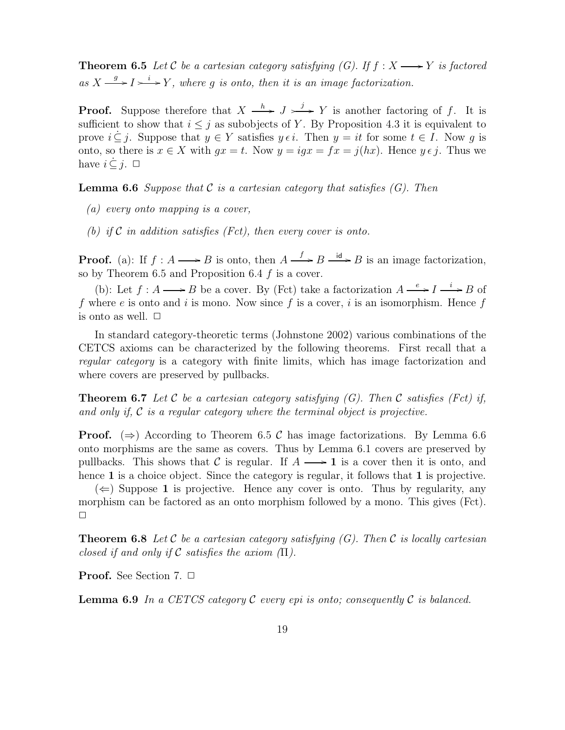**Theorem 6.5** Let C be a cartesian category satisfying (G). If  $f : X \longrightarrow Y$  is factored as  $X \xrightarrow{g} I \rightarrow Y$ , where g is onto, then it is an image factorization.

**Proof.** Suppose therefore that  $X \xrightarrow{h} J \xrightarrow{j} Y$  is another factoring of f. It is sufficient to show that  $i \leq j$  as subobjects of Y. By Proposition 4.3 it is equivalent to prove  $i \subseteq j$ . Suppose that  $y \in Y$  satisfies  $y \in i$ . Then  $y = it$  for some  $t \in I$ . Now q is onto, so there is  $x \in X$  with  $gx = t$ . Now  $y = igx = fx = j(hx)$ . Hence  $y \in j$ . Thus we have  $i \subset j$ .  $\Box$ 

**Lemma 6.6** Suppose that  $\mathcal C$  is a cartesian category that satisfies  $(G)$ . Then

(a) every onto mapping is a cover,

(b) if C in addition satisfies (Fct), then every cover is onto.

**Proof.** (a): If  $f : A \longrightarrow B$  is onto, then  $A \xrightarrow{f} B \xrightarrow{id} B$  is an image factorization, so by Theorem 6.5 and Proposition 6.4  $f$  is a cover.

(b): Let  $f : A \longrightarrow B$  be a cover. By (Fct) take a factorization  $A \xrightarrow{e} I \xrightarrow{i} B$  of f where e is onto and i is mono. Now since f is a cover, i is an isomorphism. Hence f is onto as well.  $\Box$ 

In standard category-theoretic terms (Johnstone 2002) various combinations of the CETCS axioms can be characterized by the following theorems. First recall that a regular category is a category with finite limits, which has image factorization and where covers are preserved by pullbacks.

**Theorem 6.7** Let C be a cartesian category satisfying  $(G)$ . Then C satisfies (Fct) if, and only if,  $C$  is a regular category where the terminal object is projective.

**Proof.** ( $\Rightarrow$ ) According to Theorem 6.5 C has image factorizations. By Lemma 6.6 onto morphisms are the same as covers. Thus by Lemma 6.1 covers are preserved by pullbacks. This shows that C is regular. If  $A \longrightarrow 1$  is a cover then it is onto, and hence 1 is a choice object. Since the category is regular, it follows that 1 is projective.

 $(\Leftarrow)$  Suppose 1 is projective. Hence any cover is onto. Thus by regularity, any morphism can be factored as an onto morphism followed by a mono. This gives (Fct).  $\Box$ 

**Theorem 6.8** Let C be a cartesian category satisfying  $(G)$ . Then C is locally cartesian closed if and only if C satisfies the axiom  $(\Pi)$ .

**Proof.** See Section 7.  $\Box$ 

**Lemma 6.9** In a CETCS category C every epi is onto; consequently C is balanced.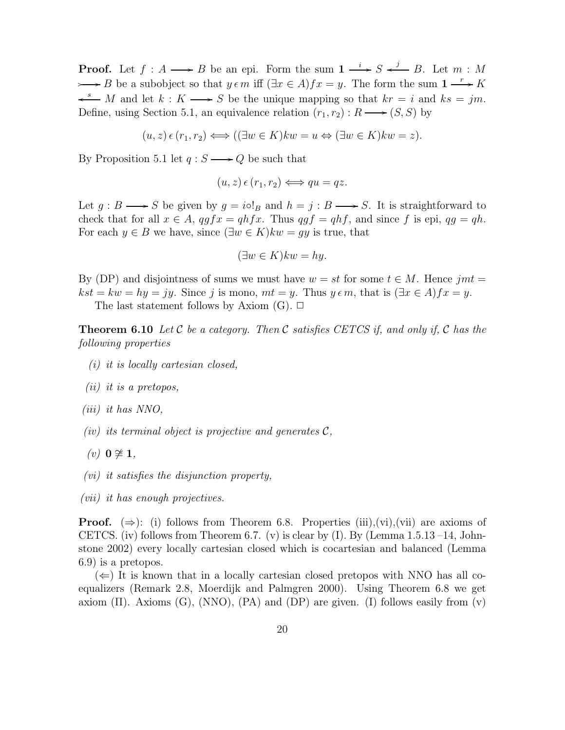**Proof.** Let  $f : A \longrightarrow B$  be an epi. Form the sum  $1 \stackrel{i}{\longrightarrow} S \stackrel{j}{\longleftarrow} B$ . Let  $m : M$  $\longrightarrow B$  be a subobject so that  $y \in m$  iff  $(\exists x \in A)$   $f x = y$ . The form the sum  $1 \xrightarrow{r} K$  $\stackrel{s}{\longrightarrow} M$  and let  $k : K \longrightarrow S$  be the unique mapping so that  $kr = i$  and  $ks = jm$ . Define, using Section 5.1, an equivalence relation  $(r_1, r_2) : R \longrightarrow (S, S)$  by

$$
(u, z) \in (r_1, r_2) \Longleftrightarrow ((\exists w \in K)kw = u \Leftrightarrow (\exists w \in K)kw = z).
$$

By Proposition 5.1 let  $q : S \longrightarrow Q$  be such that

$$
(u, z) \epsilon (r_1, r_2) \Longleftrightarrow qu = qz.
$$

Let  $g : B \longrightarrow S$  be given by  $g = i \circ 1_B$  and  $h = j : B \longrightarrow S$ . It is straightforward to check that for all  $x \in A$ ,  $qgfx = qhfx$ . Thus  $qgf = qhf$ , and since f is epi,  $qg = qh$ . For each  $y \in B$  we have, since  $(\exists w \in K) k w = gy$  is true, that

$$
(\exists w \in K) kw = hy.
$$

By (DP) and disjointness of sums we must have  $w = st$  for some  $t \in M$ . Hence jmt =  $kst = kw = hy = jy$ . Since j is mono,  $mt = y$ . Thus  $y \in m$ , that is  $(\exists x \in A) fx = y$ . The last statement follows by Axiom  $(G)$ .  $\Box$ 

**Theorem 6.10** Let C be a category. Then C satisfies CETCS if, and only if, C has the following properties

- (i) it is locally cartesian closed,
- (ii) it is a pretopos,
- (iii) it has NNO,
- (iv) its terminal object is projective and generates  $\mathcal{C}$ ,
- $(v)$  0  $\neq$  1,
- (vi) it satisfies the disjunction property,
- (vii) it has enough projectives.

**Proof.** ( $\Rightarrow$ ): (i) follows from Theorem 6.8. Properties (iii),(vi),(vii) are axioms of CETCS. (iv) follows from Theorem 6.7. (v) is clear by  $(I)$ . By (Lemma 1.5.13 –14, Johnstone 2002) every locally cartesian closed which is cocartesian and balanced (Lemma 6.9) is a pretopos.

 $(\Leftarrow)$  It is known that in a locally cartesian closed pretopos with NNO has all coequalizers (Remark 2.8, Moerdijk and Palmgren 2000). Using Theorem 6.8 we get axiom  $(\Pi)$ . Axioms  $(G)$ ,  $(NNO)$ ,  $(PA)$  and  $(DP)$  are given. (I) follows easily from  $(v)$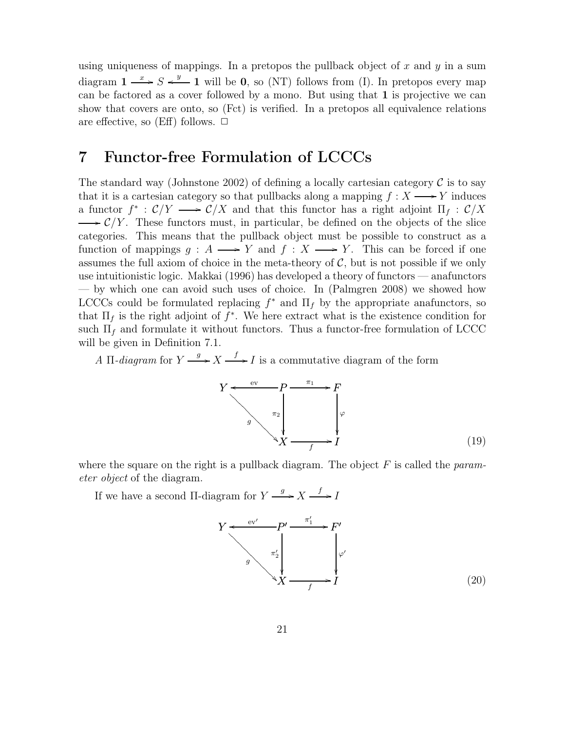using uniqueness of mappings. In a pretopos the pullback object of x and y in a sum diagram  $1 \xrightarrow{x} S \xleftarrow{y} 1$  will be 0, so (NT) follows from (I). In pretopos every map can be factored as a cover followed by a mono. But using that 1 is projective we can show that covers are onto, so (Fct) is verified. In a pretopos all equivalence relations are effective, so (Eff) follows.  $\Box$ 

### 7 Functor-free Formulation of LCCCs

The standard way (Johnstone 2002) of defining a locally cartesian category  $\mathcal C$  is to say that it is a cartesian category so that pullbacks along a mapping  $f : X \longrightarrow Y$  induces a functor  $f^*$ :  $\mathcal{C}/Y \longrightarrow \mathcal{C}/X$  and that this functor has a right adjoint  $\Pi_f : \mathcal{C}/X$  $\longrightarrow \mathcal{C}/Y$ . These functors must, in particular, be defined on the objects of the slice categories. This means that the pullback object must be possible to construct as a function of mappings  $q : A \longrightarrow Y$  and  $f : X \longrightarrow Y$ . This can be forced if one assumes the full axiom of choice in the meta-theory of  $C$ , but is not possible if we only use intuitionistic logic. Makkai (1996) has developed a theory of functors — anafunctors — by which one can avoid such uses of choice. In (Palmgren 2008) we showed how LCCCs could be formulated replacing  $f^*$  and  $\Pi_f$  by the appropriate anafunctors, so that  $\Pi_f$  is the right adjoint of  $f^*$ . We here extract what is the existence condition for such  $\Pi_f$  and formulate it without functors. Thus a functor-free formulation of LCCC will be given in Definition 7.1.

A  $\Pi$ -diagram for  $Y \xrightarrow{g} X \xrightarrow{f} I$  is a commutative diagram of the form

$$
Y \xrightarrow{\text{ev}} P \xrightarrow{\pi_1} F
$$
\n
$$
g \xrightarrow{\pi_2} \qquad \qquad \downarrow \qquad \qquad \downarrow \qquad \qquad \downarrow
$$
\n
$$
X \xrightarrow{f} I \tag{19}
$$

where the square on the right is a pullback diagram. The object  $F$  is called the *param*eter object of the diagram.

If we have a second  $\Pi$ -diagram for  $Y \xrightarrow{g} X \xrightarrow{f} I$ 

$$
Y \xleftarrow{\text{ev}'}
$$
\n
$$
P' \xrightarrow{\pi'_1} F'
$$
\n
$$
S \xrightarrow{\pi'_2} \qquad \qquad \downarrow \qquad \qquad \downarrow \qquad \qquad \downarrow \qquad \qquad \downarrow
$$
\n
$$
X \xrightarrow{\text{f}} I \qquad (20)
$$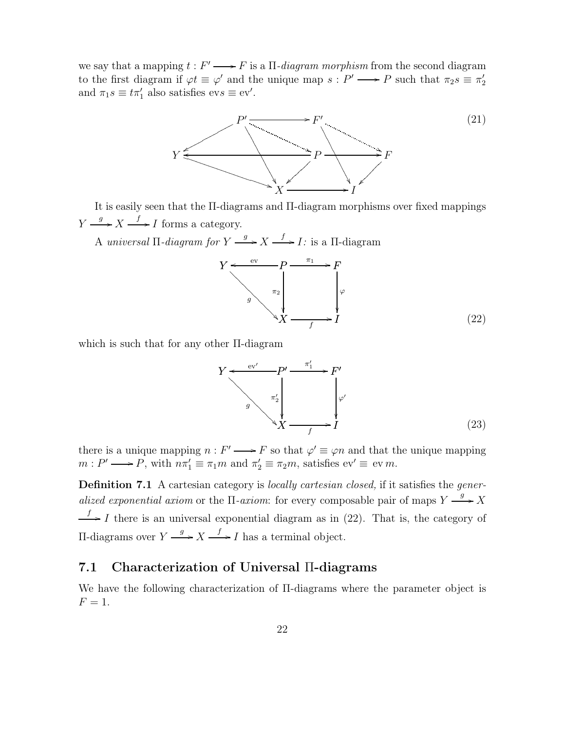we say that a mapping  $t : F' \longrightarrow F$  is a  $\Pi$ -diagram morphism from the second diagram to the first diagram if  $\varphi t \equiv \varphi'$  and the unique map  $s : P' \longrightarrow P$  such that  $\pi_2 s \equiv \pi'_2$ and  $\pi_1 s \equiv t \pi'_1$  also satisfies  $evs \equiv ev'.$ 



It is easily seen that the Π-diagrams and Π-diagram morphisms over fixed mappings  $Y \xrightarrow{g} X \xrightarrow{f} I$  forms a category.

A universal  $\Pi$ -diagram for  $Y \xrightarrow{g} X \xrightarrow{f} I$ : is a  $\Pi$ -diagram



which is such that for any other Π-diagram

$$
Y \xrightarrow{\text{ev}'} P' \xrightarrow{\pi'_1} F'
$$
\n
$$
g \xrightarrow{\pi'_2} \qquad \qquad \downarrow \qquad \qquad \downarrow \qquad \qquad \downarrow \qquad \qquad \downarrow
$$
\n
$$
X \xrightarrow{f} I \qquad (23)
$$

there is a unique mapping  $n : F' \longrightarrow F$  so that  $\varphi' \equiv \varphi n$  and that the unique mapping  $m : P' \longrightarrow P$ , with  $n\pi_1' \equiv \pi_1 m$  and  $\pi_2' \equiv \pi_2 m$ , satisfies  $ev' \equiv ev m$ .

Definition 7.1 A cartesian category is *locally cartesian closed*, if it satisfies the *gener*alized exponential axiom or the  $\Pi$ -axiom: for every composable pair of maps  $Y \xrightarrow{g} X$  $\stackrel{f}{\longrightarrow} I$  there is an universal exponential diagram as in (22). That is, the category of Π-diagrams over  $Y \xrightarrow{g} X \xrightarrow{f} I$  has a terminal object.

#### 7.1 Characterization of Universal Π-diagrams

We have the following characterization of Π-diagrams where the parameter object is  $F=1$ .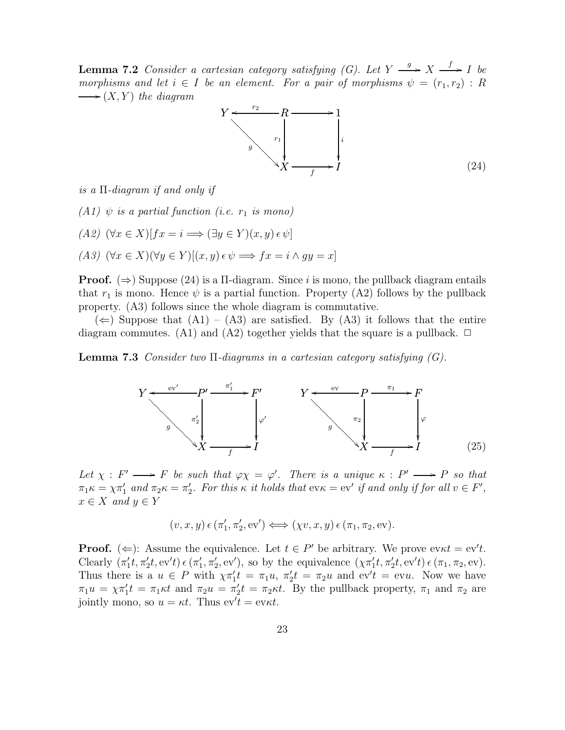**Lemma 7.2** Consider a cartesian category satisfying (G). Let  $Y \xrightarrow{g} X \xrightarrow{f} I$  be morphisms and let  $i \in I$  be an element. For a pair of morphisms  $\psi = (r_1, r_2) : R$  $\longrightarrow$   $(X, Y)$  the diagram



is a Π-diagram if and only if

(A1)  $\psi$  is a partial function (i.e.  $r_1$  is mono)

 $(A2)$   $(\forall x \in X)[fx = i \Longrightarrow (\exists y \in Y)(x, y) \in \psi]$ 

$$
(A3) \ (\forall x \in X)(\forall y \in Y)[(x, y) \in \psi \implies fx = i \land gy = x]
$$

**Proof.** ( $\Rightarrow$ ) Suppose (24) is a  $\Pi$ -diagram. Since i is mono, the pullback diagram entails that  $r_1$  is mono. Hence  $\psi$  is a partial function. Property (A2) follows by the pullback property. (A3) follows since the whole diagram is commutative.

 $(\Leftarrow)$  Suppose that  $(A1) - (A3)$  are satisfied. By  $(A3)$  it follows that the entire diagram commutes. (A1) and (A2) together yields that the square is a pullback.  $\Box$ 

**Lemma 7.3** Consider two  $\Pi$ -diagrams in a cartesian category satisfying  $(G)$ .



Let  $\chi : F' \longrightarrow F$  be such that  $\varphi \chi = \varphi'$ . There is a unique  $\kappa : P' \longrightarrow P$  so that  $\pi_1\kappa = \chi\pi'_1$  and  $\pi_2\kappa = \pi'_2$ . For this  $\kappa$  it holds that  $ev\kappa = ev'$  if and only if for all  $v \in F'$ ,  $x \in X$  and  $y \in Y$ 

$$
(v, x, y) \in (\pi'_1, \pi'_2, \text{ev}') \iff (\chi v, x, y) \in (\pi_1, \pi_2, \text{ev}).
$$

**Proof.** ( $\Leftarrow$ ): Assume the equivalence. Let  $t \in P'$  be arbitrary. We prove ev $\kappa t = \text{ev}'t$ . Clearly  $(\pi'_1 t, \pi'_2 t, \text{ev}'t) \in (\pi'_1, \pi'_2, \text{ev}'),$  so by the equivalence  $(\chi \pi'_1 t, \pi'_2 t, \text{ev}'t) \in (\pi_1, \pi_2, \text{ev}).$ Thus there is a  $u \in P$  with  $\chi \pi'_1 t = \pi_1 u$ ,  $\pi'_2 t = \pi_2 u$  and  $ev' t = ev u$ . Now we have  $\pi_1 u = \chi \pi'_1 t = \pi_1 \kappa t$  and  $\pi_2 u = \pi'_2 t = \pi_2 \kappa t$ . By the pullback property,  $\pi_1$  and  $\pi_2$  are jointly mono, so  $u = \kappa t$ . Thus  $ev' t = ev \kappa t$ .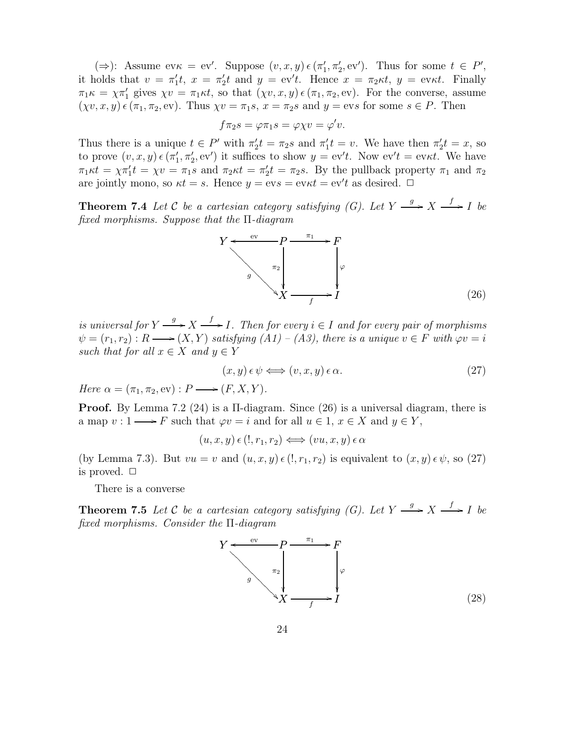( $\Rightarrow$ ): Assume ev $\kappa = \text{ev}'$ . Suppose  $(v, x, y) \in (\pi'_1, \pi'_2, \text{ev}')$ . Thus for some  $t \in P'$ , it holds that  $v = \pi'_1 t$ ,  $x = \pi'_2 t$  and  $y = \text{ev}'t$ . Hence  $x = \pi_2 \kappa t$ ,  $y = \text{ev}\kappa t$ . Finally  $\pi_1 \kappa = \chi \pi'_1$  gives  $\chi v = \pi_1 \kappa t$ , so that  $(\chi v, x, y) \in (\pi_1, \pi_2, \text{ev})$ . For the converse, assume  $(\chi v, x, y) \in (\pi_1, \pi_2, \text{ev})$ . Thus  $\chi v = \pi_1 s$ ,  $x = \pi_2 s$  and  $y = \text{evs}$  for some  $s \in P$ . Then

$$
f\pi_2s = \varphi\pi_1s = \varphi\chi v = \varphi'v.
$$

Thus there is a unique  $t \in P'$  with  $\pi'_2 t = \pi_2 s$  and  $\pi'_1 t = v$ . We have then  $\pi'_2 t = x$ , so to prove  $(v, x, y) \in (\pi'_1, \pi'_2, \text{ev}')$  it suffices to show  $y = \text{ev}'t$ . Now  $\text{ev}'t = \text{ev}\kappa t$ . We have  $\pi_1 \kappa t = \chi \pi'_1 t = \chi v = \pi_1 s$  and  $\pi_2 \kappa t = \pi'_2 t = \pi_2 s$ . By the pullback property  $\pi_1$  and  $\pi_2$ are jointly mono, so  $\kappa t = s$ . Hence  $y = \text{e}v s = \text{e}v \kappa t = \text{e}v' t$  as desired.  $\Box$ 

**Theorem 7.4** Let C be a cartesian category satisfying (G). Let  $Y \xrightarrow{g} X \xrightarrow{f} I$  be fixed morphisms. Suppose that the Π-diagram



is universal for  $Y \stackrel{g}{\longrightarrow} X \stackrel{f}{\longrightarrow} I$ . Then for every  $i \in I$  and for every pair of morphisms  $\psi = (r_1, r_2) : R \longrightarrow (X, Y)$  satisfying  $(A1) - (A3)$ , there is a unique  $v \in F$  with  $\varphi v = i$ such that for all  $x \in X$  and  $y \in Y$ 

$$
(x, y) \in \psi \Longleftrightarrow (v, x, y) \in \alpha. \tag{27}
$$

Here  $\alpha = (\pi_1, \pi_2, \text{ev}) : P \longrightarrow (F, X, Y)$ .

Proof. By Lemma 7.2 (24) is a Π-diagram. Since (26) is a universal diagram, there is a map  $v: 1 \longrightarrow F$  such that  $\varphi v = i$  and for all  $u \in 1, x \in X$  and  $y \in Y$ ,

 $(u, x, y) \in (!, r_1, r_2) \Longleftrightarrow (vu, x, y) \in \alpha$ 

(by Lemma 7.3). But  $vu = v$  and  $(u, x, y) \in (l, r_1, r_2)$  is equivalent to  $(x, y) \in \psi$ , so (27) is proved.  $\Box$ 

There is a converse

**Theorem 7.5** Let C be a cartesian category satisfying (G). Let  $Y \xrightarrow{g} X \xrightarrow{f} I$  be fixed morphisms. Consider the Π-diagram

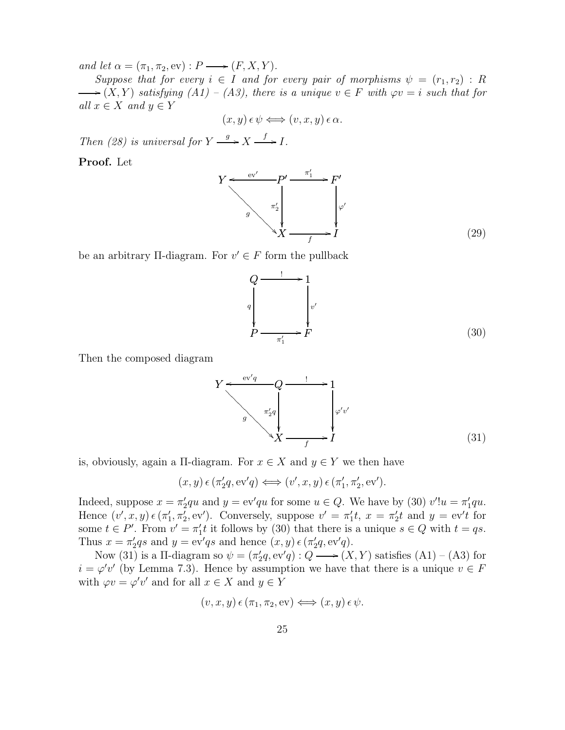and let  $\alpha = (\pi_1, \pi_2, \text{ev}) : P \longrightarrow (F, X, Y)$ .

Suppose that for every  $i \in I$  and for every pair of morphisms  $\psi = (r_1, r_2) : R$  $\longrightarrow$   $(X, Y)$  satisfying  $(A1) - (A3)$ , there is a unique  $v \in F$  with  $\varphi v = i$  such that for all  $x \in X$  and  $y \in Y$ 

$$
(x, y) \in \psi \Longleftrightarrow (v, x, y) \in \alpha.
$$

Then (28) is universal for  $Y \xrightarrow{g} X \xrightarrow{f} I$ .

Proof. Let



be an arbitrary  $\Pi$ -diagram. For  $v' \in F$  form the pullback

$$
Q \xrightarrow{1} 1
$$
\n
$$
P \xrightarrow{\pi_1'} F
$$
\n(30)

Then the composed diagram

$$
Y \xrightarrow{\text{ev}'q} Q \xrightarrow{\text{f} \qquad 1} 1
$$
\n
$$
g \xrightarrow{\pi'_2 q} \qquad \qquad \downarrow \qquad \qquad \downarrow \qquad \downarrow \qquad \downarrow \qquad \downarrow \qquad \downarrow \qquad \downarrow \qquad \downarrow \qquad \downarrow \qquad \downarrow \qquad \downarrow \qquad \downarrow \qquad \downarrow \qquad \downarrow \qquad \downarrow \qquad \downarrow \qquad \downarrow \qquad \downarrow \qquad \downarrow \qquad \downarrow \qquad \downarrow \qquad \downarrow \qquad \downarrow \qquad \downarrow \qquad \downarrow \qquad \downarrow \qquad \downarrow \qquad \downarrow \qquad \downarrow \qquad \downarrow \qquad \downarrow \qquad \downarrow \qquad \downarrow \qquad \downarrow \qquad \downarrow \qquad \downarrow \qquad \downarrow \qquad \downarrow \qquad \downarrow \qquad \downarrow \qquad \downarrow \qquad \downarrow \qquad \downarrow \qquad \downarrow \qquad \downarrow \qquad \downarrow \qquad \downarrow \qquad \downarrow \qquad \downarrow \qquad \downarrow \qquad \downarrow \qquad \downarrow \qquad \downarrow \qquad \downarrow \qquad \downarrow \qquad \downarrow \qquad \downarrow \qquad \downarrow \qquad \downarrow \qquad \downarrow \qquad \downarrow \qquad \downarrow \qquad \downarrow \qquad \downarrow \qquad \downarrow \qquad \downarrow \qquad \downarrow \qquad \downarrow \qquad \downarrow \qquad \downarrow \qquad \downarrow \qquad \downarrow \qquad \downarrow \qquad \downarrow \qquad \downarrow \qquad \downarrow \qquad \downarrow \qquad \downarrow \qquad \downarrow \qquad \downarrow \qquad \downarrow \qquad \downarrow \qquad \downarrow \qquad \downarrow \qquad \downarrow \qquad \downarrow \qquad \downarrow \qquad \downarrow \qquad \downarrow \qquad \downarrow \qquad \downarrow \qquad \downarrow \qquad \downarrow \qquad \downarrow \qquad \downarrow \qquad \downarrow \qquad \downarrow \qquad \downarrow \qquad \downarrow \qquad \downarrow \qquad \downarrow \qquad \downarrow \qquad \downarrow \qquad \downarrow \qquad \downarrow \qquad \downarrow \qquad \downarrow \qquad \downarrow \qquad \downarrow \qquad \downarrow \qquad \downarrow \qquad \downarrow \qquad \downarrow \qquad \downarrow \qquad \downarrow \qquad \downarrow \qquad \downarrow \qquad
$$

is, obviously, again a  $\Pi$ -diagram. For  $x \in X$  and  $y \in Y$  we then have

 $(x, y) \in (\pi'_2 q, \text{ev}'q) \Longleftrightarrow (v', x, y) \in (\pi'_1, \pi'_2, \text{ev}').$ 

Indeed, suppose  $x = \pi'_2 qu$  and  $y = \text{ev}'qu$  for some  $u \in Q$ . We have by (30)  $v'!u = \pi'_1 qu$ . Hence  $(v', x, y) \in (\pi'_1, \pi'_2, \text{ev}')$ . Conversely, suppose  $v' = \pi'_1 t$ ,  $x = \pi'_2 t$  and  $y = \text{ev}' t$  for some  $t \in P'$ . From  $v' = \pi'_1 t$  it follows by (30) that there is a unique  $s \in Q$  with  $t = qs$ . Thus  $x = \pi'_2 qs$  and  $y = \text{ev}'qs$  and hence  $(x, y) \in (\pi'_2 q, \text{ev}'q)$ .

Now (31) is a  $\Pi$ -diagram so  $\psi = (\pi_2'q, \text{ev}'q) : Q \longrightarrow (X, Y)$  satisfies  $(A1) - (A3)$  for  $i = \varphi' v'$  (by Lemma 7.3). Hence by assumption we have that there is a unique  $v \in F$ with  $\varphi v = \varphi' v'$  and for all  $x \in X$  and  $y \in Y$ 

$$
(v, x, y) \epsilon (\pi_1, \pi_2, \text{ev}) \iff (x, y) \epsilon \psi.
$$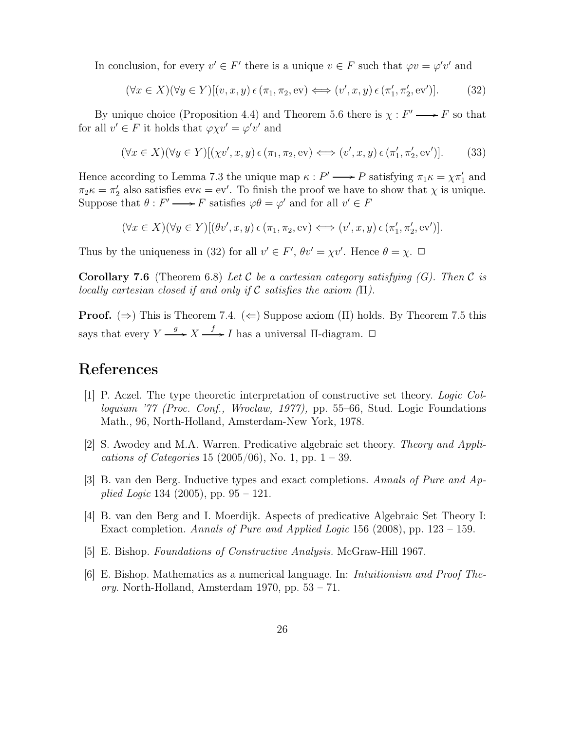In conclusion, for every  $v' \in F'$  there is a unique  $v \in F$  such that  $\varphi v = \varphi' v'$  and

$$
(\forall x \in X)(\forall y \in Y)[(v, x, y) \in (\pi_1, \pi_2, \text{ev}) \iff (v', x, y) \in (\pi'_1, \pi'_2, \text{ev}')].
$$
 (32)

By unique choice (Proposition 4.4) and Theorem 5.6 there is  $\chi : F' \longrightarrow F$  so that for all  $v' \in F$  it holds that  $\varphi \chi v' = \varphi' v'$  and

$$
(\forall x \in X)(\forall y \in Y)[(\chi v', x, y) \in (\pi_1, \pi_2, \text{ev}) \iff (v', x, y) \in (\pi'_1, \pi'_2, \text{ev}')] .
$$
 (33)

Hence according to Lemma 7.3 the unique map  $\kappa : P' \longrightarrow P$  satisfying  $\pi_1 \kappa = \chi \pi'_1$  and  $\pi_2 \kappa = \pi'_2$  also satisfies ev $\kappa = \text{ev}'$ . To finish the proof we have to show that  $\chi$  is unique. Suppose that  $\theta: F' \longrightarrow F$  satisfies  $\varphi \theta = \varphi'$  and for all  $v' \in F$ 

$$
(\forall x \in X)(\forall y \in Y)[(\theta v', x, y) \in (\pi_1, \pi_2, \text{ev}) \iff (v', x, y) \in (\pi'_1, \pi'_2, \text{ev}')] .
$$

Thus by the uniqueness in (32) for all  $v' \in F'$ ,  $\theta v' = \chi v'$ . Hence  $\theta = \chi$ .  $\Box$ 

**Corollary 7.6** (Theorem 6.8) Let C be a cartesian category satisfying  $(G)$ . Then C is locally cartesian closed if and only if C satisfies the axiom  $(\Pi)$ .

**Proof.** ( $\Rightarrow$ ) This is Theorem 7.4. ( $\Leftarrow$ ) Suppose axiom (Π) holds. By Theorem 7.5 this says that every  $Y \xrightarrow{g} X \xrightarrow{f} I$  has a universal  $\Pi$ -diagram.  $\Box$ 

### References

- [1] P. Aczel. The type theoretic interpretation of constructive set theory. Logic Colloquium '77 (Proc. Conf., Wroclaw, 1977), pp. 55–66, Stud. Logic Foundations Math., 96, North-Holland, Amsterdam-New York, 1978.
- [2] S. Awodey and M.A. Warren. Predicative algebraic set theory. Theory and Applications of Categories 15 (2005/06), No. 1, pp.  $1 - 39$ .
- [3] B. van den Berg. Inductive types and exact completions. Annals of Pure and Applied Logic 134 (2005), pp.  $95 - 121$ .
- [4] B. van den Berg and I. Moerdijk. Aspects of predicative Algebraic Set Theory I: Exact completion. Annals of Pure and Applied Logic 156 (2008), pp.  $123 - 159$ .
- [5] E. Bishop. Foundations of Constructive Analysis. McGraw-Hill 1967.
- [6] E. Bishop. Mathematics as a numerical language. In: Intuitionism and Proof The*ory.* North-Holland, Amsterdam 1970, pp.  $53 - 71$ .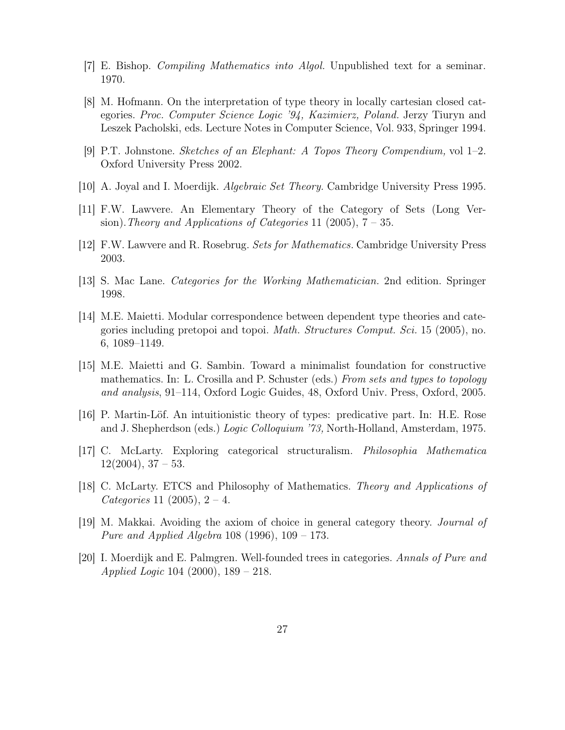- [7] E. Bishop. Compiling Mathematics into Algol. Unpublished text for a seminar. 1970.
- [8] M. Hofmann. On the interpretation of type theory in locally cartesian closed categories. Proc. Computer Science Logic '94, Kazimierz, Poland. Jerzy Tiuryn and Leszek Pacholski, eds. Lecture Notes in Computer Science, Vol. 933, Springer 1994.
- [9] P.T. Johnstone. Sketches of an Elephant: A Topos Theory Compendium, vol 1–2. Oxford University Press 2002.
- [10] A. Joyal and I. Moerdijk. Algebraic Set Theory. Cambridge University Press 1995.
- [11] F.W. Lawvere. An Elementary Theory of the Category of Sets (Long Version). Theory and Applications of Categories 11 (2005),  $7 - 35$ .
- [12] F.W. Lawvere and R. Rosebrug. Sets for Mathematics. Cambridge University Press 2003.
- [13] S. Mac Lane. Categories for the Working Mathematician. 2nd edition. Springer 1998.
- [14] M.E. Maietti. Modular correspondence between dependent type theories and categories including pretopoi and topoi. Math. Structures Comput. Sci. 15 (2005), no. 6, 1089–1149.
- [15] M.E. Maietti and G. Sambin. Toward a minimalist foundation for constructive mathematics. In: L. Crosilla and P. Schuster (eds.) From sets and types to topology and analysis, 91–114, Oxford Logic Guides, 48, Oxford Univ. Press, Oxford, 2005.
- [16] P. Martin-Löf. An intuitionistic theory of types: predicative part. In: H.E. Rose and J. Shepherdson (eds.) Logic Colloquium '73, North-Holland, Amsterdam, 1975.
- [17] C. McLarty. Exploring categorical structuralism. Philosophia Mathematica  $12(2004)$ ,  $37-53$ .
- [18] C. McLarty. ETCS and Philosophy of Mathematics. Theory and Applications of *Categories* 11 (2005),  $2 - 4$ .
- [19] M. Makkai. Avoiding the axiom of choice in general category theory. Journal of Pure and Applied Algebra 108 (1996), 109 – 173.
- [20] I. Moerdijk and E. Palmgren. Well-founded trees in categories. Annals of Pure and Applied Logic 104 (2000), 189 – 218.